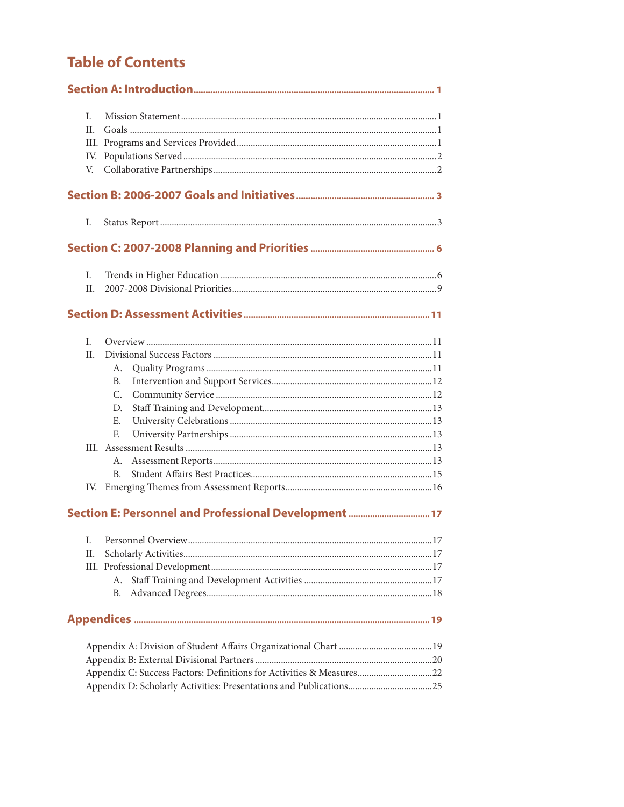# **Table of Contents**

| L.  |                                                                      |     |
|-----|----------------------------------------------------------------------|-----|
| II. |                                                                      |     |
|     |                                                                      |     |
|     |                                                                      |     |
| V.  |                                                                      |     |
|     |                                                                      |     |
| Ι.  |                                                                      |     |
|     |                                                                      |     |
| I.  |                                                                      |     |
| II. |                                                                      |     |
|     |                                                                      |     |
| L.  |                                                                      |     |
| II. |                                                                      |     |
|     | А.                                                                   |     |
|     | <b>B.</b>                                                            |     |
|     | C.                                                                   |     |
|     | D.                                                                   |     |
|     | E.                                                                   |     |
|     | F.                                                                   |     |
|     |                                                                      |     |
|     | А.                                                                   |     |
|     | B.                                                                   |     |
| IV. |                                                                      |     |
|     |                                                                      |     |
|     |                                                                      | .17 |
| П.  |                                                                      |     |
|     |                                                                      |     |
|     | А.                                                                   |     |
|     | В.                                                                   |     |
|     |                                                                      |     |
|     |                                                                      |     |
|     |                                                                      |     |
|     | Appendix C: Success Factors: Definitions for Activities & Measures22 |     |
|     |                                                                      |     |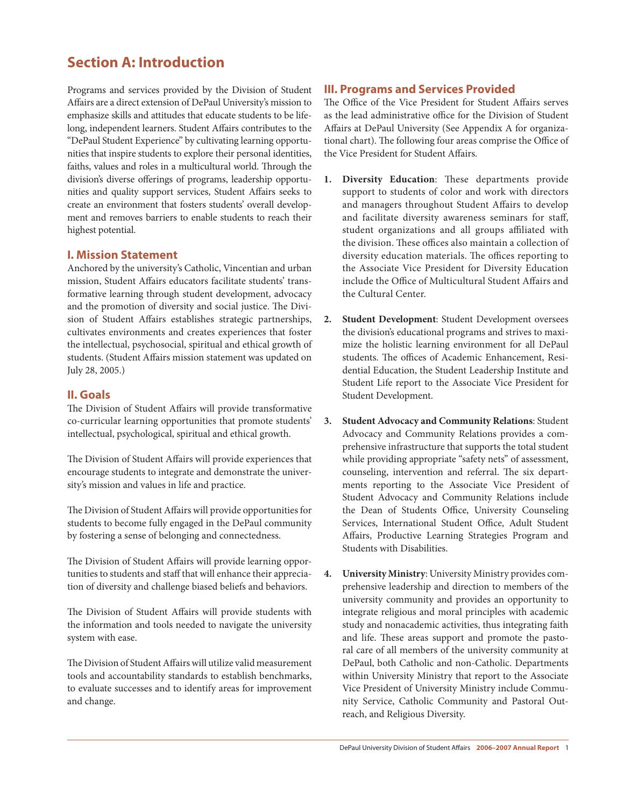## **Section A: Introduction**

Programs and services provided by the Division of Student Affairs are a direct extension of DePaul University's mission to emphasize skills and attitudes that educate students to be lifelong, independent learners. Student Affairs contributes to the "DePaul Student Experience" by cultivating learning opportunities that inspire students to explore their personal identities, faiths, values and roles in a multicultural world. Through the division's diverse offerings of programs, leadership opportunities and quality support services, Student Affairs seeks to create an environment that fosters students' overall development and removes barriers to enable students to reach their highest potential.

## **I. Mission Statement**

Anchored by the university's Catholic, Vincentian and urban mission, Student Affairs educators facilitate students' transformative learning through student development, advocacy and the promotion of diversity and social justice. The Division of Student Affairs establishes strategic partnerships, cultivates environments and creates experiences that foster the intellectual, psychosocial, spiritual and ethical growth of students. (Student Affairs mission statement was updated on July 28, 2005.)

## **II. Goals**

The Division of Student Affairs will provide transformative co-curricular learning opportunities that promote students' intellectual, psychological, spiritual and ethical growth.

The Division of Student Affairs will provide experiences that encourage students to integrate and demonstrate the university's mission and values in life and practice.

The Division of Student Affairs will provide opportunities for students to become fully engaged in the DePaul community by fostering a sense of belonging and connectedness.

The Division of Student Affairs will provide learning opportunities to students and staff that will enhance their appreciation of diversity and challenge biased beliefs and behaviors.

The Division of Student Affairs will provide students with the information and tools needed to navigate the university system with ease.

The Division of Student Affairs will utilize valid measurement tools and accountability standards to establish benchmarks, to evaluate successes and to identify areas for improvement and change.

## **III. Programs and Services Provided**

The Office of the Vice President for Student Affairs serves as the lead administrative office for the Division of Student Affairs at DePaul University (See Appendix A for organizational chart). The following four areas comprise the Office of the Vice President for Student Affairs.

- **1. Diversity Education**: These departments provide support to students of color and work with directors and managers throughout Student Affairs to develop and facilitate diversity awareness seminars for staff, student organizations and all groups affiliated with the division. These offices also maintain a collection of diversity education materials. The offices reporting to the Associate Vice President for Diversity Education include the Office of Multicultural Student Affairs and the Cultural Center.
- **2. Student Development**: Student Development oversees the division's educational programs and strives to maximize the holistic learning environment for all DePaul students. The offices of Academic Enhancement, Residential Education, the Student Leadership Institute and Student Life report to the Associate Vice President for Student Development.
- **3. Student Advocacy and Community Relations**: Student Advocacy and Community Relations provides a comprehensive infrastructure that supports the total student while providing appropriate "safety nets" of assessment, counseling, intervention and referral. The six departments reporting to the Associate Vice President of Student Advocacy and Community Relations include the Dean of Students Office, University Counseling Services, International Student Office, Adult Student Affairs, Productive Learning Strategies Program and Students with Disabilities.
- **4. University Ministry**: University Ministry provides comprehensive leadership and direction to members of the university community and provides an opportunity to integrate religious and moral principles with academic study and nonacademic activities, thus integrating faith and life. These areas support and promote the pastoral care of all members of the university community at DePaul, both Catholic and non-Catholic. Departments within University Ministry that report to the Associate Vice President of University Ministry include Community Service, Catholic Community and Pastoral Outreach, and Religious Diversity.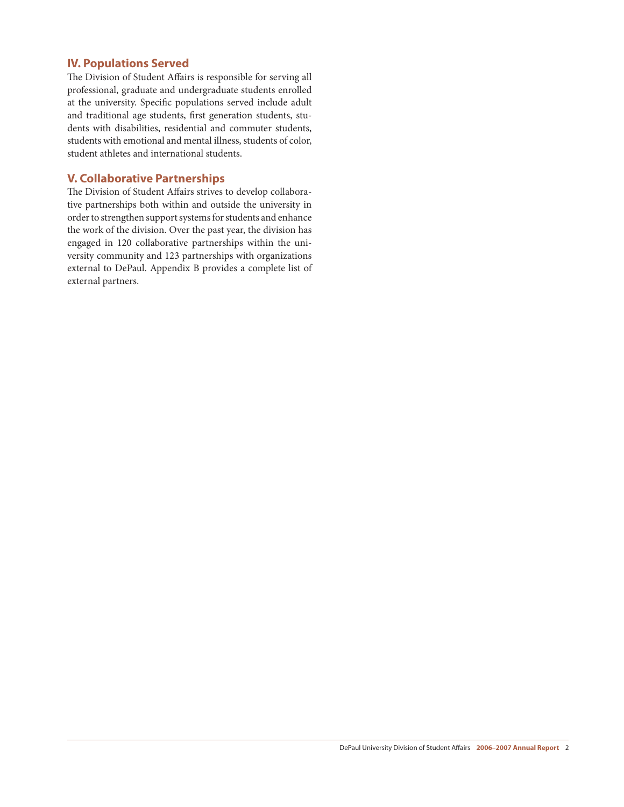## **IV. Populations Served**

The Division of Student Affairs is responsible for serving all professional, graduate and undergraduate students enrolled at the university. Specific populations served include adult and traditional age students, first generation students, students with disabilities, residential and commuter students, students with emotional and mental illness, students of color, student athletes and international students.

#### **V. Collaborative Partnerships**

The Division of Student Affairs strives to develop collaborative partnerships both within and outside the university in order to strengthen support systems for students and enhance the work of the division. Over the past year, the division has engaged in 120 collaborative partnerships within the university community and 123 partnerships with organizations external to DePaul. Appendix B provides a complete list of external partners.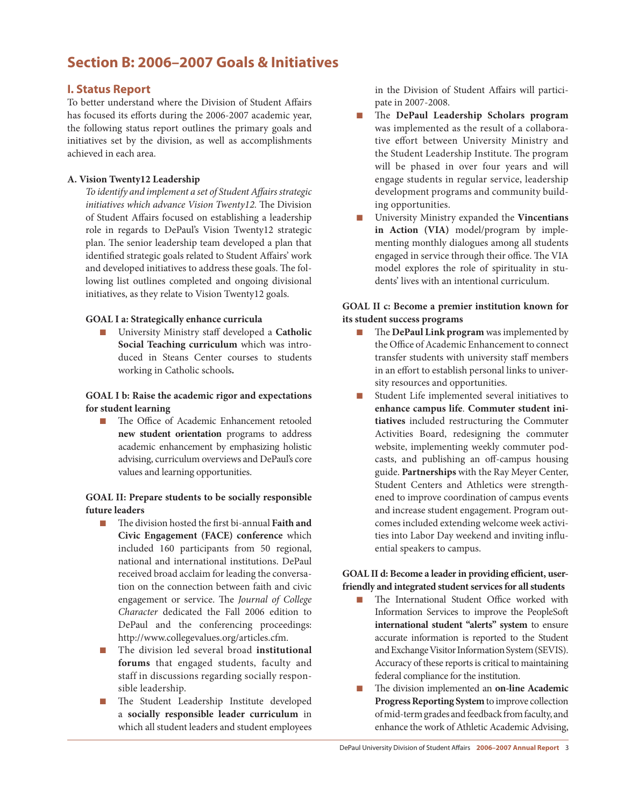## **Section B: 2006–2007 Goals & Initiatives**

## **I. Status Report**

To better understand where the Division of Student Affairs has focused its efforts during the 2006-2007 academic year, the following status report outlines the primary goals and initiatives set by the division, as well as accomplishments achieved in each area.

## **A. Vision Twenty12 Leadership**

*To identify and implement a set of Student Affairs strategic initiatives which advance Vision Twenty12.* The Division of Student Affairs focused on establishing a leadership role in regards to DePaul's Vision Twenty12 strategic plan. The senior leadership team developed a plan that identified strategic goals related to Student Affairs' work and developed initiatives to address these goals. The following list outlines completed and ongoing divisional initiatives, as they relate to Vision Twenty12 goals.

#### **GOAL I a: Strategically enhance curricula**

**n** University Ministry staff developed a **Catholic Social Teaching curriculum** which was introduced in Steans Center courses to students working in Catholic schools*.* 

### **GOAL I b: Raise the academic rigor and expectations for student learning**

n The Office of Academic Enhancement retooled **new student orientation** programs to address academic enhancement by emphasizing holistic advising, curriculum overviews and DePaul's core values and learning opportunities.

## **GOAL II: Prepare students to be socially responsible future leaders**

- n The division hosted the first bi-annual **Faith and Civic Engagement (FACE) conference** which included 160 participants from 50 regional, national and international institutions. DePaul received broad acclaim for leading the conversation on the connection between faith and civic engagement or service. The *Journal of College Character* dedicated the Fall 2006 edition to DePaul and the conferencing proceedings: http://www.collegevalues.org/articles.cfm.
- n The division led several broad **institutional forums** that engaged students, faculty and staff in discussions regarding socially responsible leadership.
- n The Student Leadership Institute developed a **socially responsible leader curriculum** in which all student leaders and student employees

in the Division of Student Affairs will participate in 2007-2008.

- n The **DePaul Leadership Scholars program** was implemented as the result of a collaborative effort between University Ministry and the Student Leadership Institute. The program will be phased in over four years and will engage students in regular service, leadership development programs and community building opportunities.
- n University Ministry expanded the **Vincentians in Action (VIA)** model/program by implementing monthly dialogues among all students engaged in service through their office. The VIA model explores the role of spirituality in students' lives with an intentional curriculum.

### **GOAL II c: Become a premier institution known for its student success programs**

- n The **DePaul Link program** wasimplemented by the Office of Academic Enhancement to connect transfer students with university staff members in an effort to establish personal links to university resources and opportunities.
- Student Life implemented several initiatives to **enhance campus life**. **Commuter student initiatives** included restructuring the Commuter Activities Board, redesigning the commuter website, implementing weekly commuter podcasts, and publishing an off-campus housing guide. **Partnerships** with the Ray Meyer Center, Student Centers and Athletics were strengthened to improve coordination of campus events and increase student engagement. Program outcomes included extending welcome week activities into Labor Day weekend and inviting influential speakers to campus.

### **GOAL II d: Become a leader in providing efficient, userfriendly and integrated studentservicesfor allstudents**

- The International Student Office worked with Information Services to improve the PeopleSoft **international student "alerts" system** to ensure accurate information is reported to the Student and Exchange Visitor Information System (SEVIS). Accuracy of these reports is critical to maintaining federal compliance for the institution.
- n The division implemented an **on-line Academic** Progress Reporting System to improve collection of mid-term grades and feedback from faculty, and enhance the work of Athletic Academic Advising,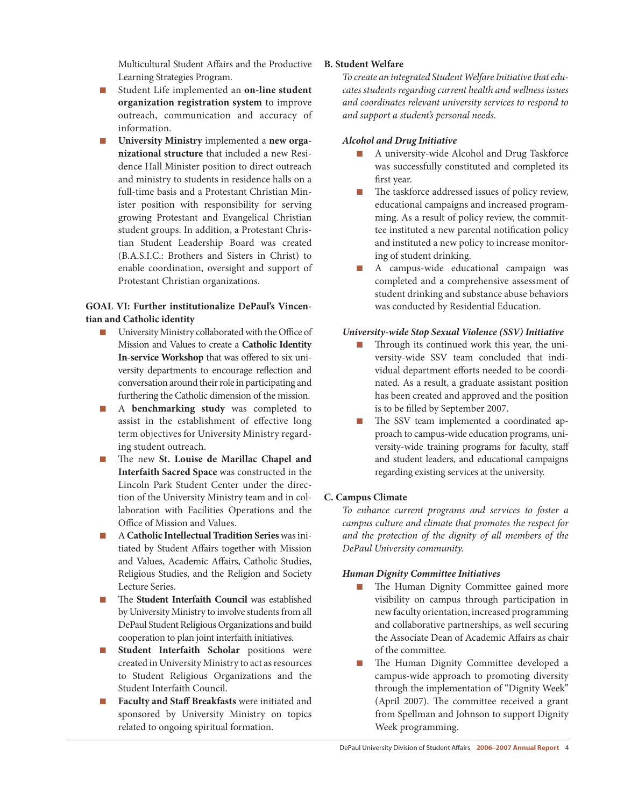Multicultural Student Affairs and the Productive Learning Strategies Program.

- n Student Life implemented an **on-line student organization registration system** to improve outreach, communication and accuracy of information.
- **n** University Ministry implemented a new orga**nizational structure** that included a new Residence Hall Minister position to direct outreach and ministry to students in residence halls on a full-time basis and a Protestant Christian Minister position with responsibility for serving growing Protestant and Evangelical Christian student groups. In addition, a Protestant Christian Student Leadership Board was created (B.A.S.I.C.: Brothers and Sisters in Christ) to enable coordination, oversight and support of Protestant Christian organizations.

#### **GOAL VI: Further institutionalize DePaul's Vincentian and Catholic identity**

- University Ministry collaborated with the Office of Mission and Values to create a **Catholic Identity In-service Workshop** that was offered to six university departments to encourage reflection and conversation around their role in participating and furthering the Catholic dimension of the mission.
- n A **benchmarking study** was completed to assist in the establishment of effective long term objectives for University Ministry regarding student outreach.
- n The new **St. Louise de Marillac Chapel and Interfaith Sacred Space** was constructed in the Lincoln Park Student Center under the direction of the University Ministry team and in collaboration with Facilities Operations and the Office of Mission and Values.
- n A**Catholic IntellectualTradition Series**wasinitiated by Student Affairs together with Mission and Values, Academic Affairs, Catholic Studies, Religious Studies, and the Religion and Society Lecture Series.
- The **Student Interfaith Council** was established by University Ministry to involve students from all DePaul Student Religious Organizations and build cooperation to plan joint interfaith initiatives.
- n **Student Interfaith Scholar** positions were created in University Ministry to act as resources to Student Religious Organizations and the Student Interfaith Council.
- n **Faculty and Staff Breakfasts** were initiated and sponsored by University Ministry on topics related to ongoing spiritual formation.

## **B. Student Welfare**

*To create an integrated Student Welfare Initiative that educates students regarding current health and wellness issues and coordinates relevant university services to respond to and support a student's personal needs.*

#### *Alcohol and Drug Initiative*

- n A university-wide Alcohol and Drug Taskforce was successfully constituted and completed its first year.
- $\blacksquare$  The taskforce addressed issues of policy review, educational campaigns and increased programming. As a result of policy review, the committee instituted a new parental notification policy and instituted a new policy to increase monitoring of student drinking.
- n A campus-wide educational campaign was completed and a comprehensive assessment of student drinking and substance abuse behaviors was conducted by Residential Education.

#### *University-wide Stop Sexual Violence (SSV) Initiative*

- Through its continued work this year, the university-wide SSV team concluded that individual department efforts needed to be coordinated. As a result, a graduate assistant position has been created and approved and the position is to be filled by September 2007.
- The SSV team implemented a coordinated approach to campus-wide education programs, university-wide training programs for faculty, staff and student leaders, and educational campaigns regarding existing services at the university.

## **C. Campus Climate**

*To enhance current programs and services to foster a campus culture and climate that promotes the respect for and the protection of the dignity of all members of the DePaul University community.* 

#### *Human Dignity Committee Initiatives*

- The Human Dignity Committee gained more visibility on campus through participation in newfaculty orientation, increased programming and collaborative partnerships, as well securing the Associate Dean of Academic Affairs as chair of the committee.
- n The Human Dignity Committee developed a campus-wide approach to promoting diversity through the implementation of "Dignity Week" (April 2007). The committee received a grant from Spellman and Johnson to support Dignity Week programming.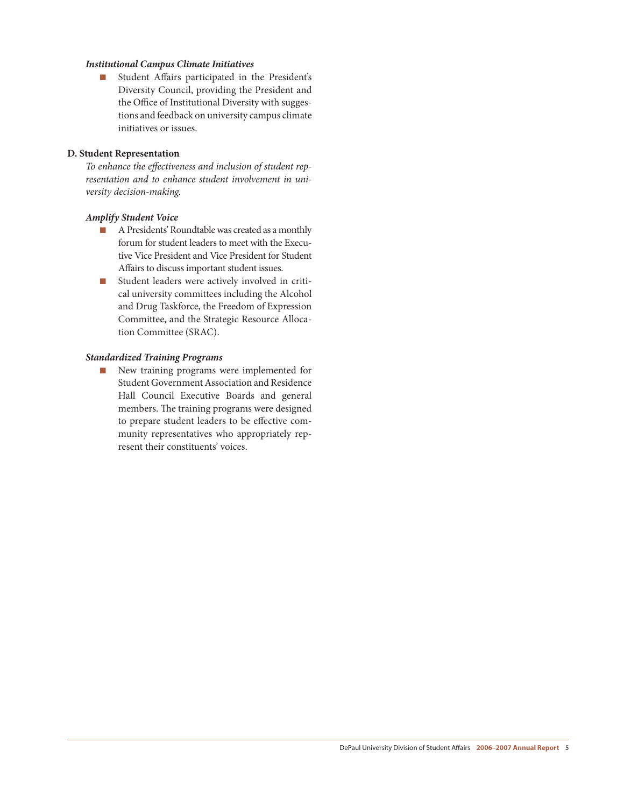#### *Institutional Campus Climate Initiatives*

■ Student Affairs participated in the President's Diversity Council, providing the President and the Office of Institutional Diversity with suggestions and feedback on university campus climate initiatives or issues.

#### **D. Student Representation**

*To enhance the effectiveness and inclusion of student representation and to enhance student involvement in university decision-making.*

#### *Amplify Student Voice*

- A Presidents' Roundtable was created as a monthly forum for student leaders to meet with the Executive Vice President and Vice President for Student Affairs to discuss important student issues.
- Student leaders were actively involved in critical university committees including the Alcohol and Drug Taskforce, the Freedom of Expression Committee, and the Strategic Resource Allocation Committee (SRAC).

#### *Standardized Training Programs*

**n** New training programs were implemented for Student Government Association and Residence Hall Council Executive Boards and general members. The training programs were designed to prepare student leaders to be effective community representatives who appropriately represent their constituents' voices.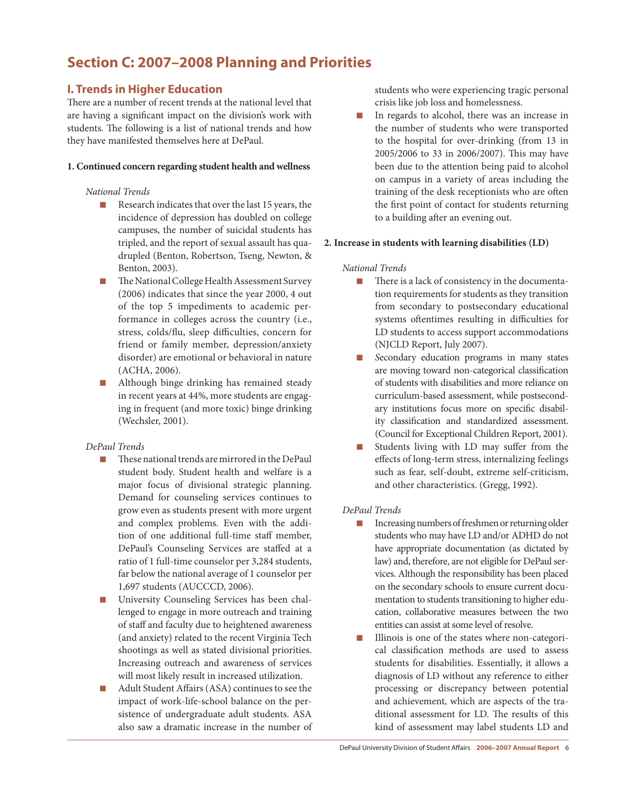## **Section C: 2007–2008 Planning and Priorities**

## **I. Trends in Higher Education**

There are a number of recent trends at the national level that are having a significant impact on the division's work with students. The following is a list of national trends and how they have manifested themselves here at DePaul.

#### **1. Continued concern regarding student health and wellness**

#### *National Trends*

- n Research indicates that over the last 15 years, the incidence of depression has doubled on college campuses, the number of suicidal students has tripled, and the report of sexual assault has quadrupled (Benton, Robertson, Tseng, Newton, & Benton, 2003).
- The National College Health Assessment Survey (2006) indicates that since the year 2000, 4 out of the top 5 impediments to academic performance in colleges across the country (i.e., stress, colds/flu, sleep difficulties, concern for friend or family member, depression/anxiety disorder) are emotional or behavioral in nature (ACHA, 2006).
- Although binge drinking has remained steady in recent years at 44%, more students are engaging in frequent (and more toxic) binge drinking (Wechsler, 2001).

## *DePaul Trends*

- $\blacksquare$  These national trends are mirrored in the DePaul student body. Student health and welfare is a major focus of divisional strategic planning. Demand for counseling services continues to grow even as students present with more urgent and complex problems. Even with the addition of one additional full-time staff member, DePaul's Counseling Services are staffed at a ratio of 1 full-time counselor per 3,284 students, far below the national average of 1 counselor per 1,697 students (AUCCCD, 2006).
- University Counseling Services has been challenged to engage in more outreach and training of staff and faculty due to heightened awareness (and anxiety) related to the recent Virginia Tech shootings as well as stated divisional priorities. Increasing outreach and awareness of services will most likely result in increased utilization.
- Adult Student Affairs (ASA) continues to see the impact of work-life-school balance on the persistence of undergraduate adult students. ASA also saw a dramatic increase in the number of

students who were experiencing tragic personal crisis like job loss and homelessness.

n In regards to alcohol, there was an increase in the number of students who were transported to the hospital for over-drinking (from 13 in 2005/2006 to 33 in 2006/2007). This may have been due to the attention being paid to alcohol on campus in a variety of areas including the training of the desk receptionists who are often the first point of contact for students returning to a building after an evening out.

#### **2. Increase in students with learning disabilities (LD)**

#### *National Trends*

- There is a lack of consistency in the documentation requirements for students as they transition from secondary to postsecondary educational systems oftentimes resulting in difficulties for LD students to access support accommodations (NJCLD Report, July 2007).
- Secondary education programs in many states are moving toward non-categorical classification of students with disabilities and more reliance on curriculum-based assessment, while postsecondary institutions focus more on specific disability classification and standardized assessment. (Council for Exceptional Children Report, 2001).
- Students living with LD may suffer from the effects of long-term stress, internalizing feelings such as fear, self-doubt, extreme self-criticism, and other characteristics. (Gregg, 1992).

#### *DePaul Trends*

- $\blacksquare$  Increasing numbers of freshmen or returning older students who may have LD and/or ADHD do not have appropriate documentation (as dictated by law) and, therefore, are not eligible for DePaul services. Although the responsibility has been placed on the secondary schools to ensure current documentation to students transitioning to higher education, collaborative measures between the two entities can assist at some level of resolve.
- Illinois is one of the states where non-categorical classification methods are used to assess students for disabilities. Essentially, it allows a diagnosis of LD without any reference to either processing or discrepancy between potential and achievement, which are aspects of the traditional assessment for LD. The results of this kind of assessment may label students LD and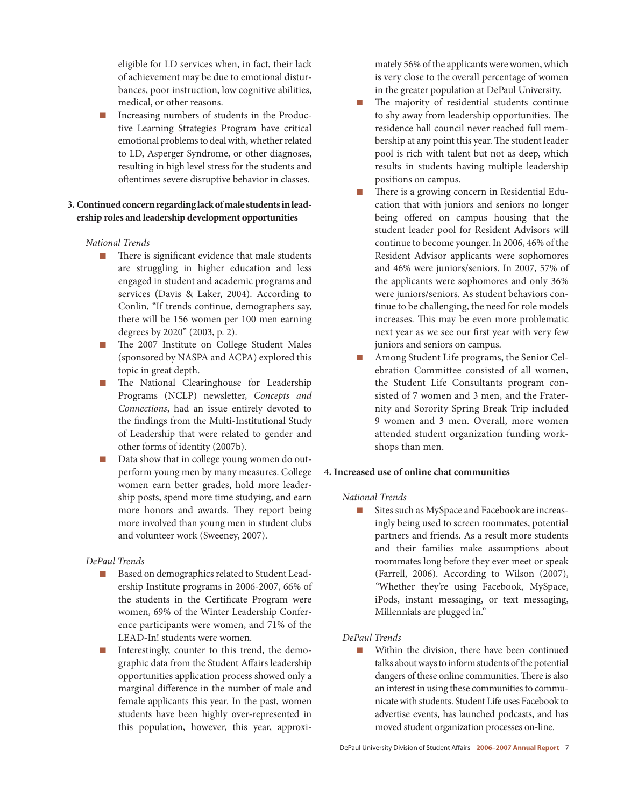eligible for LD services when, in fact, their lack of achievement may be due to emotional disturbances, poor instruction, low cognitive abilities, medical, or other reasons.

Increasing numbers of students in the Productive Learning Strategies Program have critical emotional problems to deal with, whether related to LD, Asperger Syndrome, or other diagnoses, resulting in high level stress for the students and oftentimes severe disruptive behavior in classes.

## 3. Continued concern regarding lack of male students in lead**ership roles and leadership development opportunities**

#### *National Trends*

- $\blacksquare$  There is significant evidence that male students are struggling in higher education and less engaged in student and academic programs and services (Davis & Laker, 2004). According to Conlin, "If trends continue, demographers say, there will be 156 women per 100 men earning degrees by 2020" (2003, p. 2).
- n The 2007 Institute on College Student Males (sponsored by NASPA and ACPA) explored this topic in great depth.
- n The National Clearinghouse for Leadership Programs (NCLP) newsletter, *Concepts and Connections*, had an issue entirely devoted to the findings from the Multi-Institutional Study of Leadership that were related to gender and other forms of identity (2007b).
- Data show that in college young women do outperform young men by many measures. College women earn better grades, hold more leadership posts, spend more time studying, and earn more honors and awards. They report being more involved than young men in student clubs and volunteer work (Sweeney, 2007).

## *DePaul Trends*

- Based on demographics related to Student Leadership Institute programs in 2006-2007, 66% of the students in the Certificate Program were women, 69% of the Winter Leadership Conference participants were women, and 71% of the LEAD-In! students were women.
- Interestingly, counter to this trend, the demographic data from the Student Affairs leadership opportunities application process showed only a marginal difference in the number of male and female applicants this year. In the past, women students have been highly over-represented in this population, however, this year, approxi-

mately 56% of the applicants were women, which is very close to the overall percentage of women in the greater population at DePaul University.

- The majority of residential students continue to shy away from leadership opportunities. The residence hall council never reached full membership at any point this year. The student leader pool is rich with talent but not as deep, which results in students having multiple leadership positions on campus.
- There is a growing concern in Residential Education that with juniors and seniors no longer being offered on campus housing that the student leader pool for Resident Advisors will continue to become younger.In 2006, 46% of the Resident Advisor applicants were sophomores and 46% were juniors/seniors. In 2007, 57% of the applicants were sophomores and only 36% were juniors/seniors. As student behaviors continue to be challenging, the need for role models increases. This may be even more problematic next year as we see our first year with very few juniors and seniors on campus.
- n Among Student Life programs, the Senior Celebration Committee consisted of all women, the Student Life Consultants program consisted of 7 women and 3 men, and the Fraternity and Sorority Spring Break Trip included 9 women and 3 men. Overall, more women attended student organization funding workshops than men.

## **4. Increased use of online chat communities**

## *National Trends*

■ Sites such as MySpace and Facebook are increasingly being used to screen roommates, potential partners and friends. As a result more students and their families make assumptions about roommates long before they ever meet or speak (Farrell, 2006). According to Wilson (2007), *"*Whether they're using Facebook, MySpace, iPods, instant messaging, or text messaging, Millennials are plugged in."

## *DePaul Trends*

■ Within the division, there have been continued talks about ways to inform students of the potential dangers of these online communities.There is also an interest in using these communities to communicatewith students. Student Life uses Facebook to advertise events, has launched podcasts, and has moved student organization processes on-line.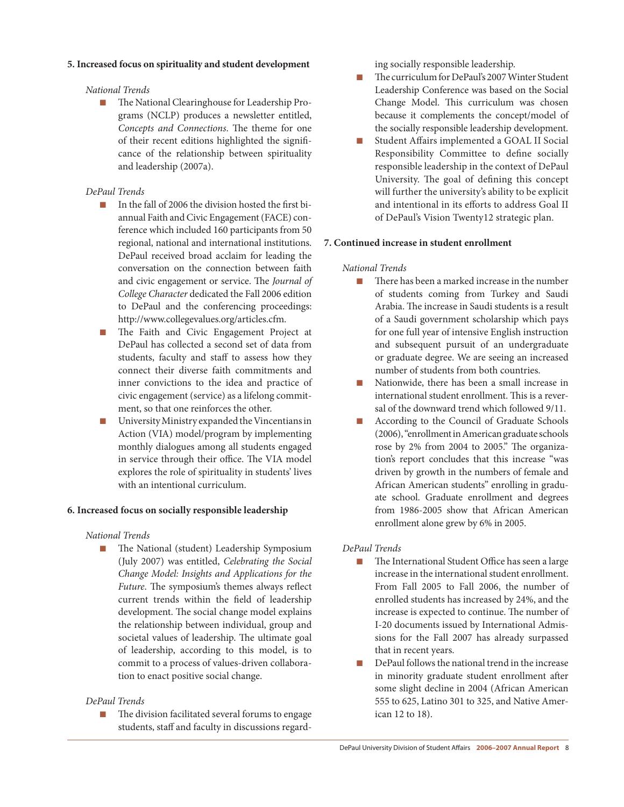#### **5. Increased focus on spirituality and student development**

#### *National Trends*

n The National Clearinghouse for Leadership Programs (NCLP) produces a newsletter entitled, *Concepts and Connections*. The theme for one of their recent editions highlighted the significance of the relationship between spirituality and leadership (2007a).

#### *DePaul Trends*

- In the fall of 2006 the division hosted the first biannual Faith and Civic Engagement (FACE) conference which included 160 participants from 50 regional, national and international institutions. DePaul received broad acclaim for leading the conversation on the connection between faith and civic engagement or service. The *Journal of College Character* dedicated the Fall 2006 edition to DePaul and the conferencing proceedings: http://www.collegevalues.org/articles.cfm.
- The Faith and Civic Engagement Project at DePaul has collected a second set of data from students, faculty and staff to assess how they connect their diverse faith commitments and inner convictions to the idea and practice of civic engagement (service) as a lifelong commitment, so that one reinforces the other.
- $\blacksquare$  University Ministry expanded the Vincentians in Action (VIA) model/program by implementing monthly dialogues among all students engaged in service through their office. The VIA model explores the role of spirituality in students' lives with an intentional curriculum.

#### **6. Increased focus on socially responsible leadership**

#### *National Trends*

n The National (student) Leadership Symposium (July 2007) was entitled, *Celebrating the Social Change Model: Insights and Applications for the Future*. The symposium's themes always reflect current trends within the field of leadership development. The social change model explains the relationship between individual, group and societal values of leadership. The ultimate goal of leadership, according to this model, is to commit to a process of values-driven collaboration to enact positive social change.

#### *DePaul Trends*

n The division facilitated several forums to engage students, staff and faculty in discussions regarding socially responsible leadership.

- The curriculum for DePaul's 2007 Winter Student Leadership Conference was based on the Social Change Model. This curriculum was chosen because it complements the concept/model of the socially responsible leadership development.
- Student Affairs implemented a GOAL II Social Responsibility Committee to define socially responsible leadership in the context of DePaul University. The goal of defining this concept will further the university's ability to be explicit and intentional in its efforts to address Goal II of DePaul's Vision Twenty12 strategic plan.

#### **7. Continued increase in student enrollment**

#### *National Trends*

- There has been a marked increase in the number of students coming from Turkey and Saudi Arabia. The increase in Saudi students is a result of a Saudi government scholarship which pays for one full year of intensive English instruction and subsequent pursuit of an undergraduate or graduate degree. We are seeing an increased number of students from both countries.
- n Nationwide, there has been a small increase in international student enrollment. This is a reversal of the downward trend which followed 9/11.
- According to the Council of Graduate Schools (2006),"enrollmentinAmericangraduate schools rose by 2% from 2004 to 2005." The organization's report concludes that this increase "was driven by growth in the numbers of female and African American students" enrolling in graduate school. Graduate enrollment and degrees from 1986-2005 show that African American enrollment alone grew by 6% in 2005.

#### *DePaul Trends*

- n The International Student Office has seen a large increase in the international student enrollment. From Fall 2005 to Fall 2006, the number of enrolled students has increased by 24%, and the increase is expected to continue. The number of I-20 documents issued by International Admissions for the Fall 2007 has already surpassed that in recent years.
- $\blacksquare$  DePaul follows the national trend in the increase in minority graduate student enrollment after some slight decline in 2004 (African American 555 to 625, Latino 301 to 325, and Native American 12 to 18).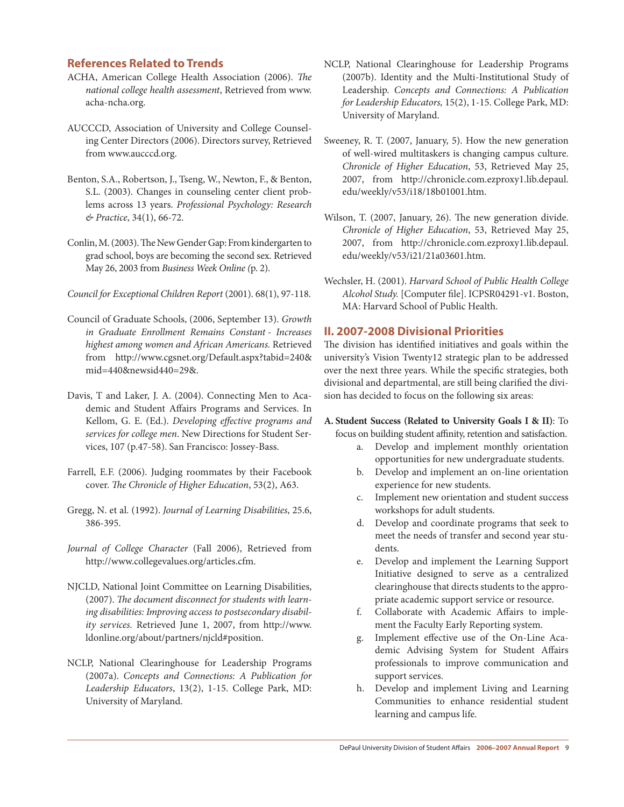## **References Related to Trends**

- ACHA, American College Health Association (2006). *The national college health assessment*, Retrieved from www. acha-ncha.org.
- AUCCCD, Association of University and College Counseling Center Directors (2006). Directors survey, Retrieved from www.aucccd.org.
- Benton, S.A., Robertson, J., Tseng, W., Newton, F., & Benton, S.L. (2003). Changes in counseling center client problems across 13 years. *Professional Psychology: Research & Practice*, 34(1), 66-72.
- Conlin, M. (2003). The New Gender Gap: From kindergarten to grad school, boys are becoming the second sex. Retrieved May 26, 2003 from *Business Week Online (*p. 2).

*Council for Exceptional Children Report* (2001). 68(1), 97-118.

- Council of Graduate Schools, (2006, September 13). *Growth in Graduate Enrollment Remains Constant - Increases highest among women and African Americans.* Retrieved from http://www.cgsnet.org/Default.aspx?tabid=240& mid=440&newsid440=29&.
- Davis, T and Laker, J. A. (2004). Connecting Men to Academic and Student Affairs Programs and Services. In Kellom, G. E. (Ed.). *Developing effective programs and services for college men*. New Directions for Student Services, 107 (p.47-58). San Francisco: Jossey-Bass.
- Farrell, E.F. (2006). Judging roommates by their Facebook cover. *The Chronicle of Higher Education*, 53(2), A63.
- Gregg, N. et al. (1992). *Journal of Learning Disabilities*, 25.6, 386-395.
- *Journal of College Character* (Fall 2006), Retrieved from http://www.collegevalues.org/articles.cfm.
- NJCLD, National Joint Committee on Learning Disabilities, (2007). *The document disconnect for students with learning disabilities: Improving access to postsecondary disability services.* Retrieved June 1, 2007, from http://www. ldonline.org/about/partners/njcld#position.
- NCLP, National Clearinghouse for Leadership Programs (2007a). *Concepts and Connections: A Publication for Leadership Educators*, 13(2), 1-15. College Park, MD: University of Maryland.
- NCLP, National Clearinghouse for Leadership Programs (2007b). Identity and the Multi-Institutional Study of Leadership. *Concepts and Connections: A Publication for Leadership Educators,* 15(2), 1-15. College Park, MD: University of Maryland.
- Sweeney, R. T. (2007, January, 5). How the new generation of well-wired multitaskers is changing campus culture. *Chronicle of Higher Education*, 53, Retrieved May 25, 2007, from http://chronicle.com.ezproxy1.lib.depaul. edu/weekly/v53/i18/18b01001.htm.
- Wilson, T. (2007, January, 26). The new generation divide. *Chronicle of Higher Education*, 53, Retrieved May 25, 2007, from http://chronicle.com.ezproxy1.lib.depaul. edu/weekly/v53/i21/21a03601.htm.
- Wechsler, H. (2001). *Harvard School of Public Health College Alcohol Study.* [Computer file]. ICPSR04291-v1. Boston, MA: Harvard School of Public Health.

## **II. 2007-2008 Divisional Priorities**

The division has identified initiatives and goals within the university's Vision Twenty12 strategic plan to be addressed over the next three years. While the specific strategies, both divisional and departmental, are still being clarified the division has decided to focus on the following six areas:

**A. Student Success (Related to University Goals I & II)**: To

- focus on building student affinity, retention and satisfaction.
	- a. Develop and implement monthly orientation opportunities for new undergraduate students.
	- b. Develop and implement an on-line orientation experience for new students.
	- c. Implement new orientation and student success workshops for adult students.
	- d. Develop and coordinate programs that seek to meet the needs of transfer and second year students.
	- e. Develop and implement the Learning Support Initiative designed to serve as a centralized clearinghouse that directs students to the appropriate academic support service or resource.
	- f. Collaborate with Academic Affairs to implement the Faculty Early Reporting system.
	- g. Implement effective use of the On-Line Academic Advising System for Student Affairs professionals to improve communication and support services.
	- h. Develop and implement Living and Learning Communities to enhance residential student learning and campus life.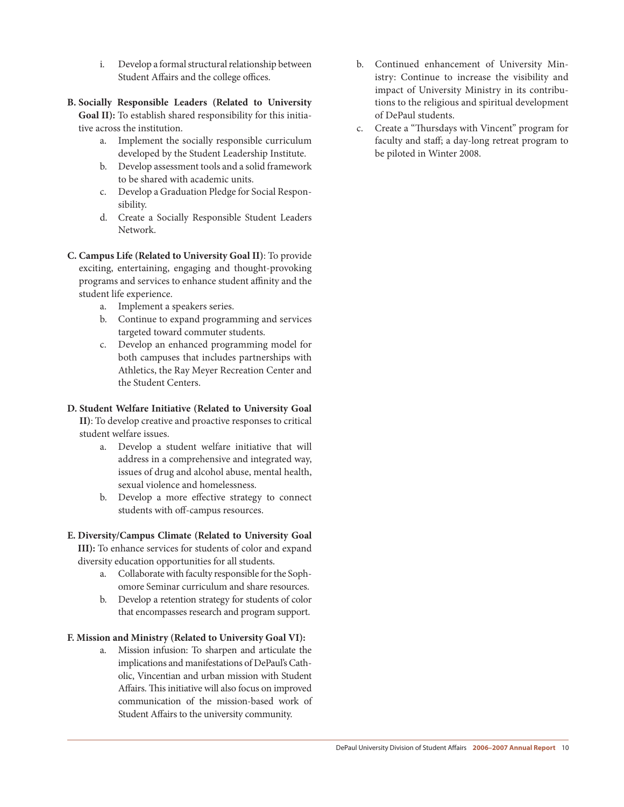- i. Develop a formal structural relationship between Student Affairs and the college offices.
- **B. Socially Responsible Leaders (Related to University Goal II):** To establish shared responsibility for this initiative across the institution.
	- a. Implement the socially responsible curriculum developed by the Student Leadership Institute.
	- b. Develop assessment tools and a solid framework to be shared with academic units.
	- c. Develop a Graduation Pledge for Social Responsibility.
	- d. Create a Socially Responsible Student Leaders Network.
- **C. Campus Life (Related to University Goal II)**: To provide exciting, entertaining, engaging and thought-provoking programs and services to enhance student affinity and the student life experience.
	- a. Implement a speakers series.
	- b. Continue to expand programming and services targeted toward commuter students.
	- c. Develop an enhanced programming model for both campuses that includes partnerships with Athletics, the Ray Meyer Recreation Center and the Student Centers.

#### **D. Student Welfare Initiative (Related to University Goal**

**II)**: To develop creative and proactive responses to critical student welfare issues.

- a. Develop a student welfare initiative that will address in a comprehensive and integrated way, issues of drug and alcohol abuse, mental health, sexual violence and homelessness.
- b. Develop a more effective strategy to connect students with off-campus resources.

#### **E. Diversity/Campus Climate (Related to University Goal**

**III):** To enhance services for students of color and expand diversity education opportunities for all students.

- a. Collaborate with faculty responsible for the Sophomore Seminar curriculum and share resources.
- b. Develop a retention strategy for students of color that encompasses research and program support.

#### **F. Mission and Ministry (Related to University Goal VI):**

a. Mission infusion: To sharpen and articulate the implications and manifestations of DePaul's Catholic, Vincentian and urban mission with Student Affairs. This initiative will also focus on improved communication of the mission-based work of Student Affairs to the university community.

- b. Continued enhancement of University Ministry: Continue to increase the visibility and impact of University Ministry in its contributions to the religious and spiritual development of DePaul students.
- c. Create a "Thursdays with Vincent" program for faculty and staff; a day-long retreat program to be piloted in Winter 2008.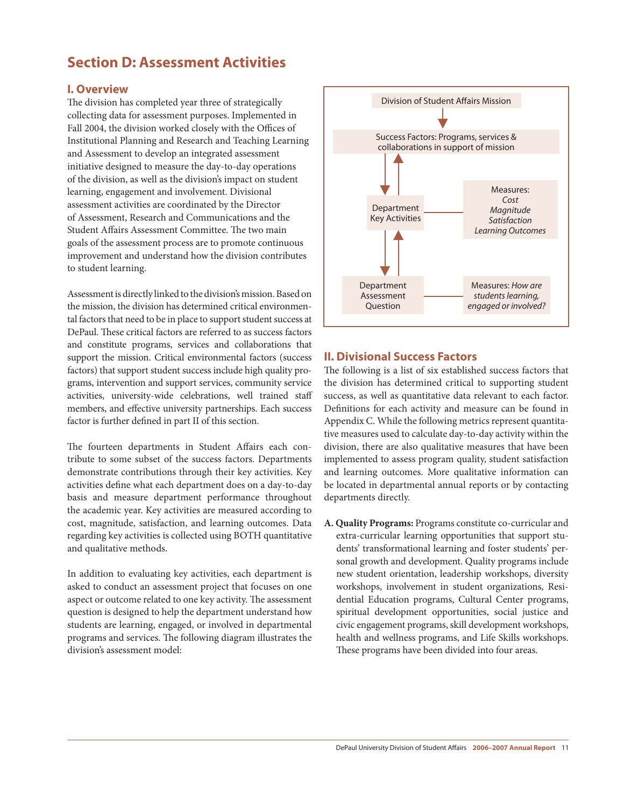## **Section D: Assessment Activities**

## **I. Overview**

The division has completed year three of strategically collecting data for assessment purposes. Implemented in Fall 2004, the division worked closely with the Offices of Institutional Planning and Research and Teaching Learning and Assessment to develop an integrated assessment initiative designed to measure the day-to-day operations of the division, as well as the division's impact on student learning, engagement and involvement. Divisional assessment activities are coordinated by the Director of Assessment, Research and Communications and the Student Affairs Assessment Committee. The two main goals of the assessment process are to promote continuous improvement and understand how the division contributes to student learning.

Assessment is directly linked to the division's mission. Based on the mission, the division has determined critical environmental factors that need to be in place to support student success at DePaul. These critical factors are referred to as success factors and constitute programs, services and collaborations that support the mission. Critical environmental factors (success factors) that support student success include high quality programs, intervention and support services, community service activities, university-wide celebrations, well trained staff members, and effective university partnerships. Each success factor is further defined in part II of this section.

The fourteen departments in Student Affairs each contribute to some subset of the success factors. Departments demonstrate contributions through their key activities. Key activities define what each department does on a day-to-day basis and measure department performance throughout the academic year. Key activities are measured according to cost, magnitude, satisfaction, and learning outcomes. Data regarding key activities is collected using BOTH quantitative and qualitative methods.

In addition to evaluating key activities, each department is asked to conduct an assessment project that focuses on one aspect or outcome related to one key activity. The assessment question is designed to help the department understand how students are learning, engaged, or involved in departmental programs and services. The following diagram illustrates the division's assessment model:



## **II. Divisional Success Factors**

The following is a list of six established success factors that the division has determined critical to supporting student success, as well as quantitative data relevant to each factor. Definitions for each activity and measure can be found in Appendix C. While the following metrics represent quantitative measures used to calculate day-to-day activity within the division, there are also qualitative measures that have been implemented to assess program quality, student satisfaction and learning outcomes. More qualitative information can be located in departmental annual reports or by contacting departments directly.

**A. Quality Programs:** Programs constitute co-curricular and extra-curricular learning opportunities that support students' transformational learning and foster students' personal growth and development. Quality programs include new student orientation, leadership workshops, diversity workshops, involvement in student organizations, Residential Education programs, Cultural Center programs, spiritual development opportunities, social justice and civic engagement programs, skill development workshops, health and wellness programs, and Life Skills workshops. These programs have been divided into four areas.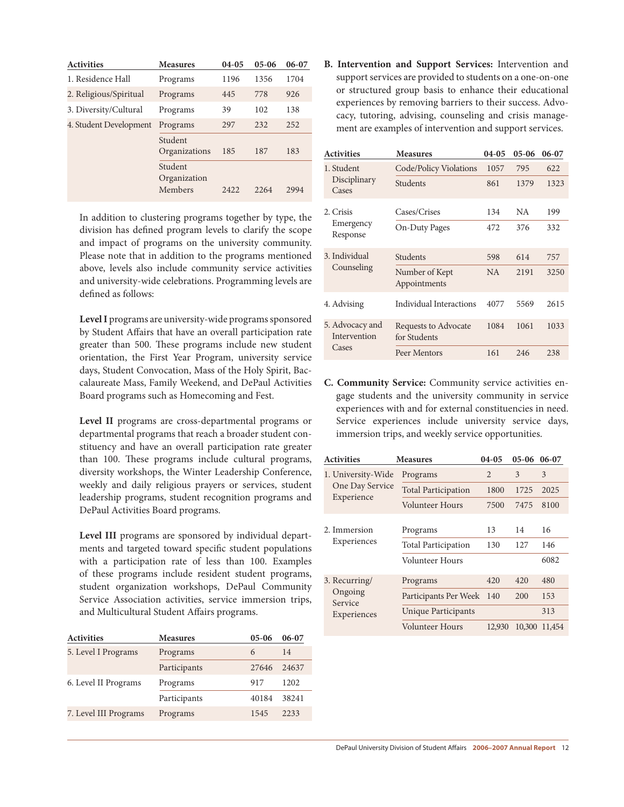| <b>Activities</b>      | <b>Measures</b>                    | $04-05$ | $05-06$ | $06-07$ |
|------------------------|------------------------------------|---------|---------|---------|
| 1. Residence Hall      | Programs                           | 1196    | 1356    | 1704    |
| 2. Religious/Spiritual | Programs                           | 445     | 778     | 926     |
| 3. Diversity/Cultural  | Programs                           | 39      | 102     | 138     |
| 4. Student Development | Programs                           | 297     | 232     | 252     |
|                        | Student<br>Organizations           | 185     | 187     | 183     |
|                        | Student<br>Organization<br>Members | 2.422   | 22.64   | 2994    |

In addition to clustering programs together by type, the division has defined program levels to clarify the scope and impact of programs on the university community. Please note that in addition to the programs mentioned above, levels also include community service activities and university-wide celebrations. Programming levels are defined as follows:

Level I programs are university-wide programs sponsored by Student Affairs that have an overall participation rate greater than 500. These programs include new student orientation, the First Year Program, university service days, Student Convocation, Mass of the Holy Spirit, Baccalaureate Mass, Family Weekend, and DePaul Activities Board programs such as Homecoming and Fest.

**Level II** programs are cross-departmental programs or departmental programs that reach a broader student constituency and have an overall participation rate greater than 100. These programs include cultural programs, diversity workshops, the Winter Leadership Conference, weekly and daily religious prayers or services, student leadership programs, student recognition programs and DePaul Activities Board programs.

**Level III** programs are sponsored by individual departments and targeted toward specific student populations with a participation rate of less than 100. Examples of these programs include resident student programs, student organization workshops, DePaul Community Service Association activities, service immersion trips, and Multicultural Student Affairs programs.

| <b>Activities</b>     | <b>Measures</b> | $05-06$ | $06-07$ |
|-----------------------|-----------------|---------|---------|
| 5. Level I Programs   | Programs        | 6       | 14      |
|                       | Participants    | 27646   | 24637   |
| 6. Level II Programs  | Programs        | 917     | 1202    |
|                       | Participants    | 40184   | 38241   |
| 7. Level III Programs | Programs        | 1545    | 2233    |

**B. Intervention and Support Services:** Intervention and support services are provided to students on a one-on-one or structured group basis to enhance their educational experiences by removing barriers to their success. Advocacy, tutoring, advising, counseling and crisis management are examples of intervention and support services.

| <b>Activities</b>               | <b>Measures</b>                      | $04-05$ | $05-06$   | 06-07 |
|---------------------------------|--------------------------------------|---------|-----------|-------|
| 1. Student                      | Code/Policy Violations               | 1057    | 795       | 622   |
| Disciplinary<br>Cases           | Students                             | 861     | 1379      | 1323  |
| 2. Crisis                       | Cases/Crises                         | 134     | <b>NA</b> | 199   |
| Emergency<br>Response           | On-Duty Pages                        | 472     | 376       | 332   |
| 3. Individual                   | Students                             | 598     | 614       | 757   |
| Counseling                      | Number of Kept<br>Appointments       | NA.     | 2191      | 3250  |
| 4. Advising                     | Individual Interactions              | 4077    | 5569      | 2615  |
| 5. Advocacy and<br>Intervention | Requests to Advocate<br>for Students | 1084    | 1061      | 1033  |
| Cases                           | Peer Mentors                         | 161     | 246       | 238   |

**C. Community Service:** Community service activities engage students and the university community in service experiences with and for external constituencies in need. Service experiences include university service days, immersion trips, and weekly service opportunities.

| <b>Activities</b>                                  | <b>Measures</b>            | $04-05$        | $05-06$ | 06-07  |
|----------------------------------------------------|----------------------------|----------------|---------|--------|
| 1. University-Wide                                 | Programs                   | $\overline{2}$ | 3       | 3      |
| One Day Service                                    | <b>Total Participation</b> | 1800           | 1725    | 2025   |
| Experience                                         | Volunteer Hours            | 7500           | 7475    | 8100   |
| 2. Immersion<br>Experiences                        | Programs                   | 13             | 14      | 16     |
|                                                    | <b>Total Participation</b> | 130            | 127     | 146    |
|                                                    | Volunteer Hours            |                |         | 6082   |
| 3. Recurring/<br>Ongoing<br>Service<br>Experiences | Programs                   | 420            | 420     | 480    |
|                                                    | Participants Per Week      | 140            | 200     | 153    |
|                                                    | Unique Participants        |                |         | 313    |
|                                                    | Volunteer Hours            | 12,930         | 10,300  | 11,454 |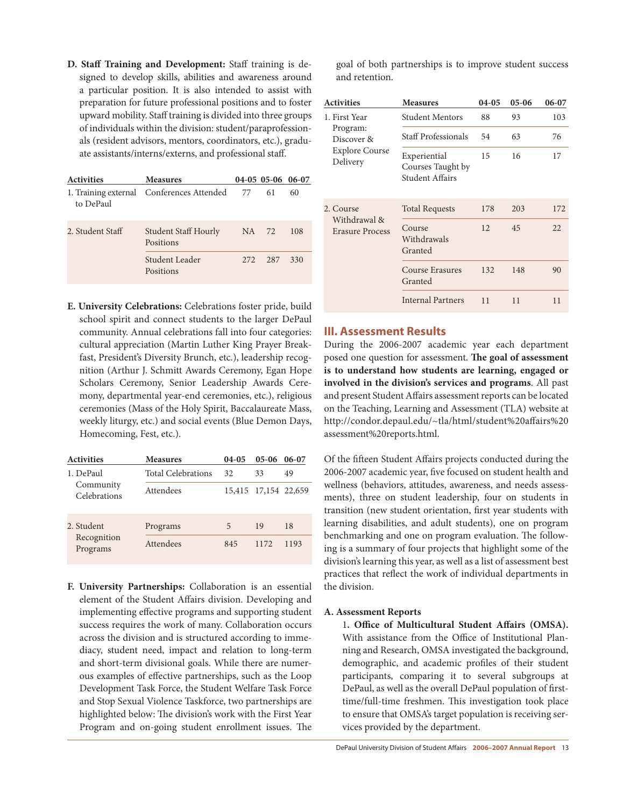**D. Staff Training and Development:** Staff training is designed to develop skills, abilities and awareness around a particular position. It is also intended to assist with preparation for future professional positions and to foster upward mobility. Staff training is divided into three groups of individuals within the division: student/paraprofessionals (resident advisors, mentors, coordinators, etc.), graduate assistants/interns/externs, and professional staff.

| <b>Activities</b> | <b>Measures</b>                           |       | 04-05 05-06 06-07 |     |
|-------------------|-------------------------------------------|-------|-------------------|-----|
| to DePaul         | 1. Training external Conferences Attended | 77    | 61                | 60  |
| 2. Student Staff  | <b>Student Staff Hourly</b><br>Positions  | NA .  | 72                | 108 |
|                   | Student Leader<br>Positions               | 2.72. | 287               | 330 |

**E. University Celebrations:** Celebrations foster pride, build school spirit and connect students to the larger DePaul community. Annual celebrations fall into four categories: cultural appreciation (Martin Luther King Prayer Breakfast, President's Diversity Brunch, etc.), leadership recognition (Arthur J. Schmitt Awards Ceremony, Egan Hope Scholars Ceremony, Senior Leadership Awards Ceremony, departmental year-end ceremonies, etc.), religious ceremonies (Mass of the Holy Spirit, Baccalaureate Mass, weekly liturgy, etc.) and social events (Blue Demon Days, Homecoming, Fest, etc.).

| <b>Activities</b>         | <b>Measures</b>    | $04-05$ | $05-06$              | $06-07$ |
|---------------------------|--------------------|---------|----------------------|---------|
| 1. DePaul                 | Total Celebrations | 32.     | 33                   | 49      |
| Community<br>Celebrations | Attendees          |         | 15,415 17,154 22,659 |         |
| 2. Student                | Programs           | 5       | 19                   | 18      |
| Recognition<br>Programs   | Attendees          | 845     | 1172                 | 1193    |

**F. University Partnerships:** Collaboration is an essential element of the Student Affairs division. Developing and implementing effective programs and supporting student success requires the work of many. Collaboration occurs across the division and is structured according to immediacy, student need, impact and relation to long-term and short-term divisional goals. While there are numerous examples of effective partnerships, such as the Loop Development Task Force, the Student Welfare Task Force and Stop Sexual Violence Taskforce, two partnerships are highlighted below: The division's work with the First Year Program and on-going student enrollment issues. The

goal of both partnerships is to improve student success and retention.

| <b>Activities</b>                      | <b>Measures</b>                                      | $04-05$ | $05-06$ | 06-07 |
|----------------------------------------|------------------------------------------------------|---------|---------|-------|
| 1. First Year                          | <b>Student Mentors</b>                               | 88      | 93      | 103   |
| Program:<br>Discover &                 | Staff Professionals                                  | 54      | 63      | 76    |
| <b>Explore Course</b><br>Delivery      | Experiential<br>Courses Taught by<br>Student Affairs | 15      | 16      | 17    |
| 2. Course                              | <b>Total Requests</b>                                | 178     | 203     | 172   |
| Withdrawal &<br><b>Erasure Process</b> | Course<br>Withdrawals<br>Granted                     | 12      | 45      | 22    |
|                                        | Course Erasures<br>Granted                           | 132     | 148     | 90    |
|                                        | <b>Internal Partners</b>                             | 11      | 11      | 11    |

## **III. Assessment Results**

During the 2006-2007 academic year each department posed one question for assessment. **The goal of assessment is to understand how students are learning, engaged or involved in the division's services and programs**. All past and present Student Affairs assessment reports can be located on the Teaching, Learning and Assessment (TLA) website at http://condor.depaul.edu/~tla/html/student%20affairs%20 assessment%20reports.html.

Of the fifteen Student Affairs projects conducted during the 2006-2007 academic year, five focused on student health and wellness (behaviors, attitudes, awareness, and needs assessments), three on student leadership, four on students in transition (new student orientation, first year students with learning disabilities, and adult students), one on program benchmarking and one on program evaluation. The following is a summary of four projects that highlight some of the division's learning this year, as well as a list of assessment best practices that reflect the work of individual departments in the division.

#### **A. Assessment Reports**

1**. Office of Multicultural Student Affairs (OMSA).** With assistance from the Office of Institutional Planning and Research, OMSA investigated the background, demographic, and academic profiles of their student participants, comparing it to several subgroups at DePaul, as well as the overall DePaul population of firsttime/full-time freshmen. This investigation took place to ensure that OMSA's target population is receiving services provided by the department.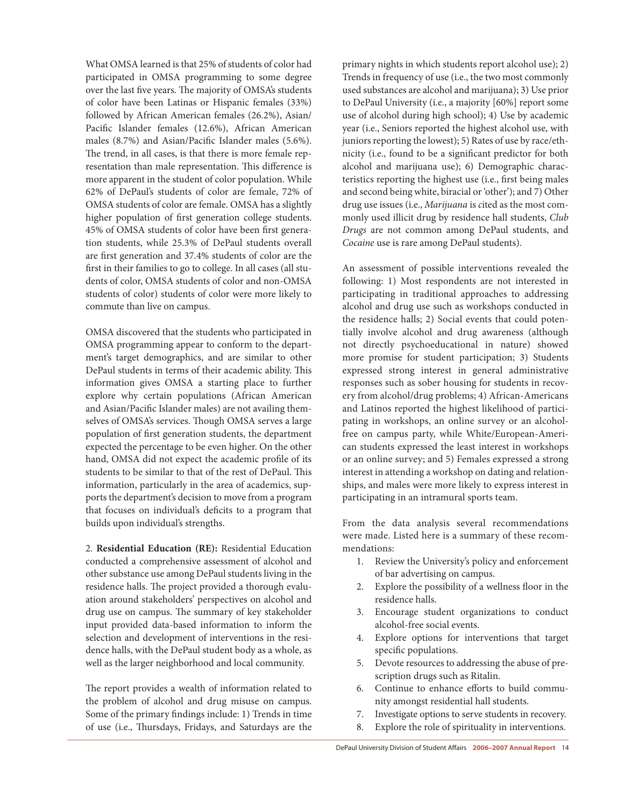What OMSA learned is that 25% of students of color had participated in OMSA programming to some degree over the last five years. The majority of OMSA's students of color have been Latinas or Hispanic females (33%) followed by African American females (26.2%), Asian/ Pacific Islander females (12.6%), African American males (8.7%) and Asian/Pacific Islander males (5.6%). The trend, in all cases, is that there is more female representation than male representation. This difference is more apparent in the student of color population. While 62% of DePaul's students of color are female, 72% of OMSA students of color are female. OMSA has a slightly higher population of first generation college students. 45% of OMSA students of color have been first generation students, while 25.3% of DePaul students overall are first generation and 37.4% students of color are the first in their families to go to college. In all cases (all students of color, OMSA students of color and non-OMSA students of color) students of color were more likely to commute than live on campus.

OMSA discovered that the students who participated in OMSA programming appear to conform to the department's target demographics, and are similar to other DePaul students in terms of their academic ability. This information gives OMSA a starting place to further explore why certain populations (African American and Asian/Pacific Islander males) are not availing themselves of OMSA's services. Though OMSA serves a large population of first generation students, the department expected the percentage to be even higher. On the other hand, OMSA did not expect the academic profile of its students to be similar to that of the rest of DePaul. This information, particularly in the area of academics, supports the department's decision to move from a program that focuses on individual's deficits to a program that builds upon individual's strengths.

2. **Residential Education (RE):** Residential Education conducted a comprehensive assessment of alcohol and other substance use among DePaul students living in the residence halls. The project provided a thorough evaluation around stakeholders' perspectives on alcohol and drug use on campus. The summary of key stakeholder input provided data-based information to inform the selection and development of interventions in the residence halls, with the DePaul student body as a whole, as well as the larger neighborhood and local community.

The report provides a wealth of information related to the problem of alcohol and drug misuse on campus. Some of the primary findings include: 1) Trends in time of use (i.e., Thursdays, Fridays, and Saturdays are the

primary nights in which students report alcohol use); 2) Trends in frequency of use (i.e., the two most commonly used substances are alcohol and marijuana); 3) Use prior to DePaul University (i.e., a majority [60%] report some use of alcohol during high school); 4) Use by academic year (i.e., Seniors reported the highest alcohol use, with juniors reporting the lowest); 5) Rates of use by race/ethnicity (i.e., found to be a significant predictor for both alcohol and marijuana use); 6) Demographic characteristics reporting the highest use (i.e., first being males and second being white, biracial or'other'); and 7) Other drug use issues (i.e., *Marijuana* is *c*ited as the most commonly used illicit drug by residence hall students, *Club Drugs* are not common among DePaul students, and *Cocaine* use is rare among DePaul students).

An assessment of possible interventions revealed the following: 1) Most respondents are not interested in participating in traditional approaches to addressing alcohol and drug use such as workshops conducted in the residence halls; 2) Social events that could potentially involve alcohol and drug awareness (although not directly psychoeducational in nature) showed more promise for student participation; 3) Students expressed strong interest in general administrative responses such as sober housing for students in recovery from alcohol/drug problems; 4) African-Americans and Latinos reported the highest likelihood of participating in workshops, an online survey or an alcoholfree on campus party, while White/European-American students expressed the least interest in workshops or an online survey; and 5) Females expressed a strong interest in attending a workshop on dating and relationships, and males were more likely to express interest in participating in an intramural sports team.

From the data analysis several recommendations were made. Listed here is a summary of these recommendations:

- 1. Review the University's policy and enforcement of bar advertising on campus.
- 2. Explore the possibility of a wellness floor in the residence halls.
- 3. Encourage student organizations to conduct alcohol-free social events.
- 4. Explore options for interventions that target specific populations.
- 5. Devote resources to addressing the abuse of prescription drugs such as Ritalin.
- 6. Continue to enhance efforts to build community amongst residential hall students.
- 7. Investigate options to serve students in recovery.
- 8. Explore the role of spirituality in interventions.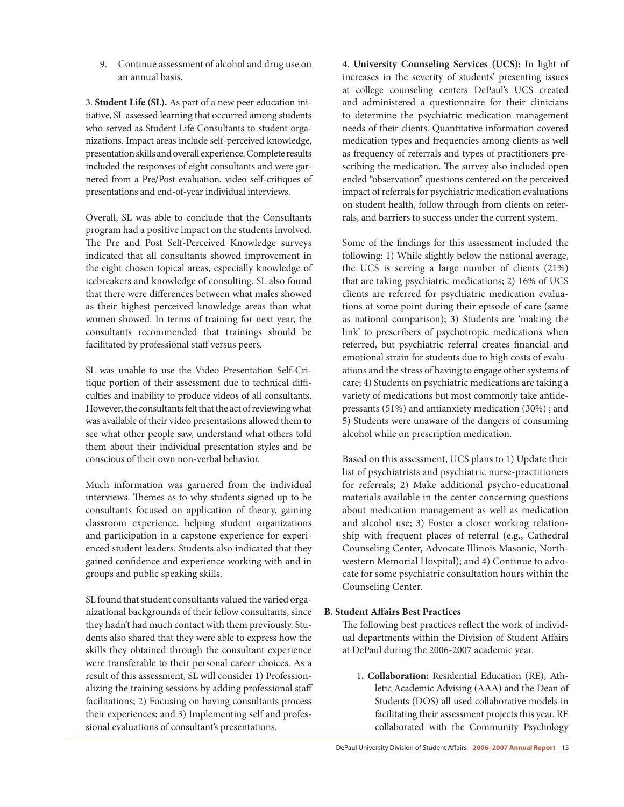9. Continue assessment of alcohol and drug use on an annual basis.

3. **Student Life (SL).** As part of a new peer education initiative, SL assessed learning that occurred among students who served as Student Life Consultants to student organizations. Impact areas include self-perceived knowledge, presentation skills and overall experience. Complete results included the responses of eight consultants and were garnered from a Pre/Post evaluation, video self-critiques of presentations and end-of-year individual interviews.

Overall, SL was able to conclude that the Consultants program had a positive impact on the students involved. The Pre and Post Self-Perceived Knowledge surveys indicated that all consultants showed improvement in the eight chosen topical areas, especially knowledge of icebreakers and knowledge of consulting. SL also found that there were differences between what males showed as their highest perceived knowledge areas than what women showed. In terms of training for next year, the consultants recommended that trainings should be facilitated by professional staff versus peers.

SL was unable to use the Video Presentation Self-Critique portion of their assessment due to technical difficulties and inability to produce videos of all consultants. However, the consultants felt that the act of reviewing what was available of their video presentations allowed them to see what other people saw, understand what others told them about their individual presentation styles and be conscious of their own non-verbal behavior.

Much information was garnered from the individual interviews. Themes as to why students signed up to be consultants focused on application of theory, gaining classroom experience, helping student organizations and participation in a capstone experience for experienced student leaders. Students also indicated that they gained confidence and experience working with and in groups and public speaking skills.

SL found that student consultants valued the varied organizational backgrounds of their fellow consultants, since they hadn't had much contact with them previously. Students also shared that they were able to express how the skills they obtained through the consultant experience were transferable to their personal career choices. As a result of this assessment, SL will consider 1) Professionalizing the training sessions by adding professional staff facilitations; 2) Focusing on having consultants process their experiences; and 3) Implementing self and professional evaluations of consultant's presentations.

4. **University Counseling Services (UCS):** In light of increases in the severity of students' presenting issues at college counseling centers DePaul's UCS created and administered a questionnaire for their clinicians to determine the psychiatric medication management needs of their clients. Quantitative information covered medication types and frequencies among clients as well as frequency of referrals and types of practitioners prescribing the medication. The survey also included open ended "observation" questions centered on the perceived impact of referrals for psychiatric medication evaluations on student health, follow through from clients on referrals, and barriers to success under the current system.

Some of the findings for this assessment included the following: 1) While slightly below the national average, the UCS is serving a large number of clients (21%) that are taking psychiatric medications; 2) 16% of UCS clients are referred for psychiatric medication evaluations at some point during their episode of care (same as national comparison); 3) Students are 'making the link' to prescribers of psychotropic medications when referred, but psychiatric referral creates financial and emotional strain for students due to high costs of evaluations and the stress of having to engage other systems of care; 4) Students on psychiatric medications are taking a variety of medications but most commonly take antidepressants (51%) and antianxiety medication (30%) ; and 5) Students were unaware of the dangers of consuming alcohol while on prescription medication.

Based on this assessment, UCS plans to 1) Update their list of psychiatrists and psychiatric nurse-practitioners for referrals; 2) Make additional psycho-educational materials available in the center concerning questions about medication management as well as medication and alcohol use; 3) Foster a closer working relationship with frequent places of referral (e.g., Cathedral Counseling Center, Advocate Illinois Masonic, Northwestern Memorial Hospital); and 4) Continue to advocate for some psychiatric consultation hours within the Counseling Center.

#### **B. Student Affairs Best Practices**

The following best practices reflect the work of individual departments within the Division of Student Affairs at DePaul during the 2006-2007 academic year.

1**. Collaboration:** Residential Education (RE), Athletic Academic Advising (AAA) and the Dean of Students (DOS) all used collaborative models in facilitating their assessment projects this year. RE collaborated with the Community Psychology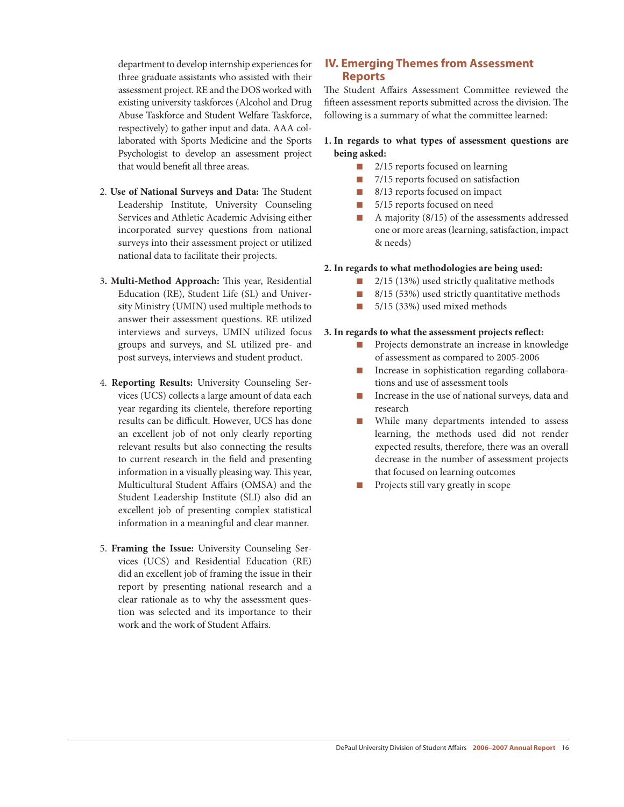department to develop internship experiences for three graduate assistants who assisted with their assessment project. RE and the DOS worked with existing university taskforces (Alcohol and Drug Abuse Taskforce and Student Welfare Taskforce, respectively) to gather input and data. AAA collaborated with Sports Medicine and the Sports Psychologist to develop an assessment project that would benefit all three areas.

- 2. **Use of National Surveys and Data:** The Student Leadership Institute, University Counseling Services and Athletic Academic Advising either incorporated survey questions from national surveys into their assessment project or utilized national data to facilitate their projects.
- 3**. Multi-Method Approach:** This year, Residential Education (RE), Student Life (SL) and University Ministry (UMIN) used multiple methods to answer their assessment questions. RE utilized interviews and surveys, UMIN utilized focus groups and surveys, and SL utilized pre- and post surveys, interviews and student product.
- 4. **Reporting Results:** University Counseling Services (UCS) collects a large amount of data each year regarding its clientele, therefore reporting results can be difficult. However, UCS has done an excellent job of not only clearly reporting relevant results but also connecting the results to current research in the field and presenting information in a visually pleasing way. This year, Multicultural Student Affairs (OMSA) and the Student Leadership Institute (SLI) also did an excellent job of presenting complex statistical information in a meaningful and clear manner.
- 5. **Framing the Issue:** University Counseling Services (UCS) and Residential Education (RE) did an excellent job of framing the issue in their report by presenting national research and a clear rationale as to why the assessment question was selected and its importance to their work and the work of Student Affairs.

## **IV. Emerging Themes from Assessment Reports**

The Student Affairs Assessment Committee reviewed the fifteen assessment reports submitted across the division. The following is a summary of what the committee learned:

#### **1. In regards to what types of assessment questions are being asked:**

- 2/15 reports focused on learning
- n 7/15 reports focused on satisfaction
- $\blacksquare$  8/13 reports focused on impact
- **n** 5/15 reports focused on need
- n A majority (8/15) of the assessments addressed one or more areas (learning, satisfaction, impact & needs)

#### **2. In regards to what methodologies are being used:**

- $\blacksquare$  2/15 (13%) used strictly qualitative methods
- $\blacksquare$  8/15 (53%) used strictly quantitative methods
- $\Box$  5/15 (33%) used mixed methods

#### **3. In regards to what the assessment projects reflect:**

- Projects demonstrate an increase in knowledge of assessment as compared to 2005-2006
- n Increase in sophistication regarding collaborations and use of assessment tools
- Increase in the use of national surveys, data and research
- **n** While many departments intended to assess learning, the methods used did not render expected results, therefore, there was an overall decrease in the number of assessment projects that focused on learning outcomes
- n Projects still vary greatly in scope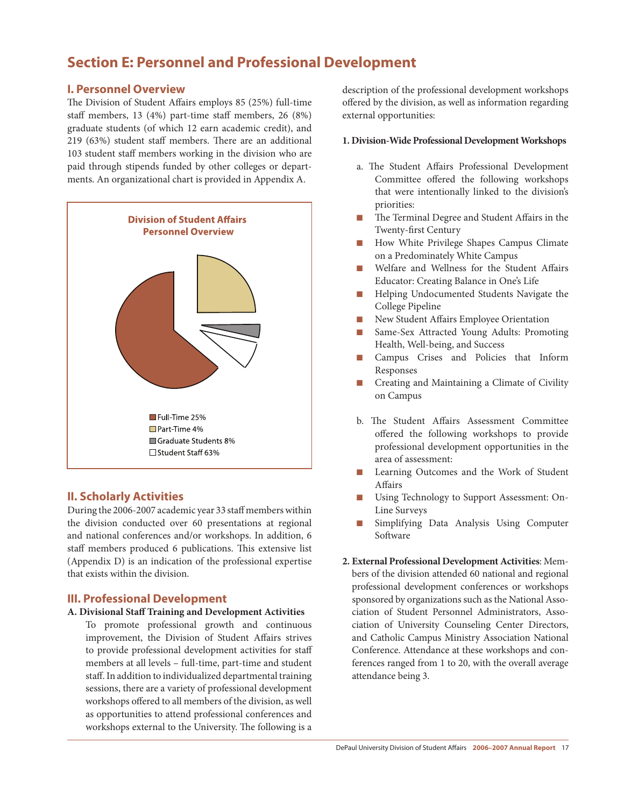## **Section E: Personnel and Professional Development**

## **I. Personnel Overview**

The Division of Student Affairs employs 85 (25%) full-time staff members, 13 (4%) part-time staff members, 26 (8%) graduate students (of which 12 earn academic credit), and 219 (63%) student staff members. There are an additional 103 student staff members working in the division who are paid through stipends funded by other colleges or departments. An organizational chart is provided in Appendix A.



## **II. Scholarly Activities**

During the 2006-2007 academic year 33 staff memberswithin the division conducted over 60 presentations at regional and national conferences and/or workshops. In addition, 6 staff members produced 6 publications. This extensive list (Appendix D) is an indication of the professional expertise that exists within the division.

## **III. Professional Development**

#### **A. Divisional Staff Training and Development Activities**

To promote professional growth and continuous improvement, the Division of Student Affairs strives to provide professional development activities for staff members at all levels – full-time, part-time and student staff. In addition to individualized departmental training sessions, there are a variety of professional development workshops offered to all members of the division, as well as opportunities to attend professional conferences and workshops external to the University. The following is a

description of the professional development workshops offered by the division, as well as information regarding external opportunities:

#### **1. Division-Wide Professional Development Workshops**

- a. The Student Affairs Professional Development Committee offered the following workshops that were intentionally linked to the division's priorities:
- The Terminal Degree and Student Affairs in the Twenty-first Century
- How White Privilege Shapes Campus Climate on a Predominately White Campus
- n Welfare and Wellness for the Student Affairs Educator: Creating Balance in One's Life
- **n** Helping Undocumented Students Navigate the College Pipeline
- n New Student Affairs Employee Orientation
- Same-Sex Attracted Young Adults: Promoting Health, Well-being, and Success
- n Campus Crises and Policies that Inform Responses
- n Creating and Maintaining a Climate of Civility on Campus
- b. The Student Affairs Assessment Committee offered the following workshops to provide professional development opportunities in the area of assessment:
- Learning Outcomes and the Work of Student Affairs
- Using Technology to Support Assessment: On-Line Surveys
- Simplifying Data Analysis Using Computer Software
- **2. External Professional Development Activities**: Members of the division attended 60 national and regional professional development conferences or workshops sponsored by organizations such as the National Association of Student Personnel Administrators, Association of University Counseling Center Directors, and Catholic Campus Ministry Association National Conference. Attendance at these workshops and conferences ranged from 1 to 20, with the overall average attendance being 3.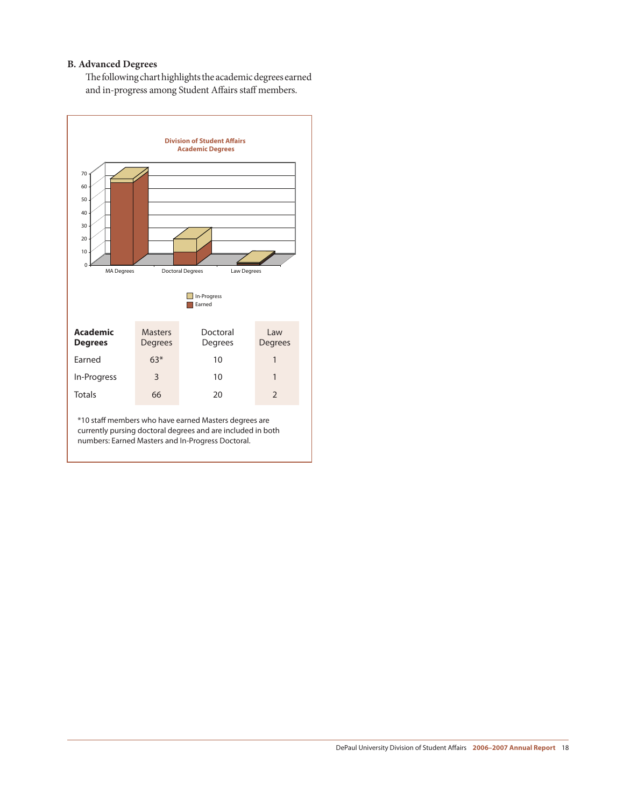#### **B. Advanced Degrees**

The following chart highlights the academic degrees earned and in-progress among Student Affairs staff members.

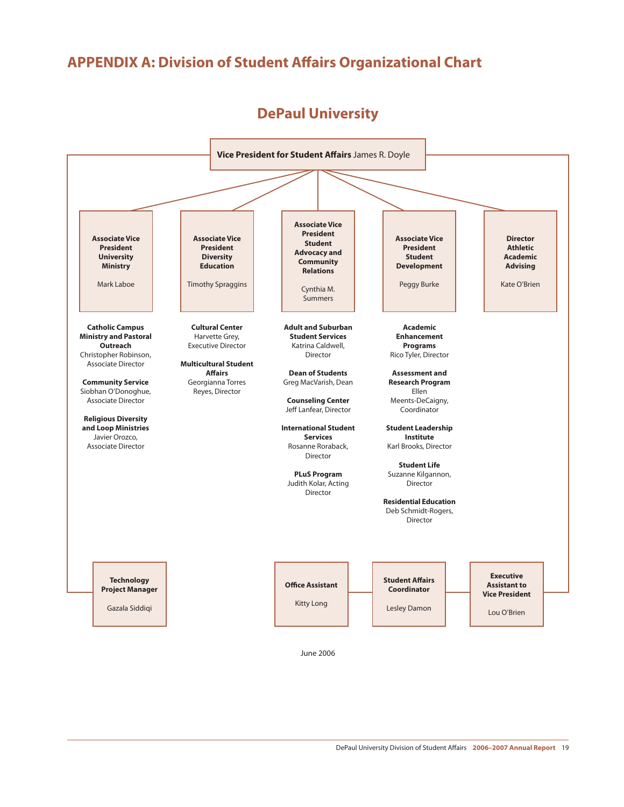## **APPENDIX A: Division of Student Affairs Organizational Chart**

# **DePaul University**



June 2006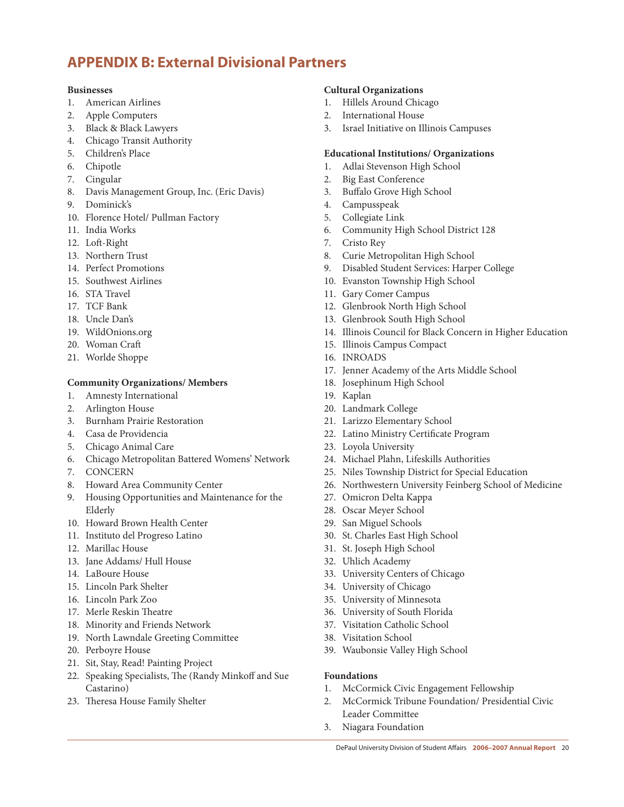## **APPENDIX B: External Divisional Partners**

#### **Businesses**

- 1. American Airlines
- 2. Apple Computers
- 3. Black & Black Lawyers
- 4. Chicago Transit Authority
- 5. Children's Place
- 6. Chipotle
- 7. Cingular
- 8. Davis Management Group, Inc. (Eric Davis)
- 9. Dominick's
- 10. Florence Hotel/ Pullman Factory
- 11. India Works
- 12. Loft-Right
- 13. Northern Trust
- 14. Perfect Promotions
- 15. Southwest Airlines
- 16. STA Travel
- 17. TCF Bank
- 18. Uncle Dan's
- 19. WildOnions.org
- 20. Woman Craft
- 21. Worlde Shoppe

## **Community Organizations/ Members**

- 1. Amnesty International
- 2. Arlington House
- 3. Burnham Prairie Restoration
- 4. Casa de Providencia
- 5. Chicago Animal Care
- 6. Chicago Metropolitan Battered Womens' Network
- 7. CONCERN
- 8. Howard Area Community Center
- 9. Housing Opportunities and Maintenance for the Elderly
- 10. Howard Brown Health Center
- 11. Instituto del Progreso Latino
- 12. Marillac House
- 13. Jane Addams/ Hull House
- 14. LaBoure House
- 15. Lincoln Park Shelter
- 16. Lincoln Park Zoo
- 17. Merle Reskin Theatre
- 18. Minority and Friends Network
- 19. North Lawndale Greeting Committee
- 20. Perboyre House
- 21. Sit, Stay, Read! Painting Project
- 22. Speaking Specialists, The (Randy Minkoff and Sue Castarino)
- 23. Theresa House Family Shelter

### **Cultural Organizations**

- 1. Hillels Around Chicago
- 2. International House
- 3. Israel Initiative on Illinois Campuses

#### **Educational Institutions/ Organizations**

- 1. Adlai Stevenson High School
- 2. Big East Conference
- 3. Buffalo Grove High School
- 4. Campusspeak
- 5. Collegiate Link
- 6. Community High School District 128
- 7. Cristo Rey
- 8. Curie Metropolitan High School
- 9. Disabled Student Services: Harper College
- 10. Evanston Township High School
- 11. Gary Comer Campus
- 12. Glenbrook North High School
- 13. Glenbrook South High School
- 14. Illinois Council for Black Concern in Higher Education
- 15. Illinois Campus Compact
- 16. INROADS
- 17. Jenner Academy of the Arts Middle School
- 18. Josephinum High School
- 19. Kaplan
- 20. Landmark College
- 21. Larizzo Elementary School
- 22. Latino Ministry Certificate Program
- 23. Loyola University
- 24. Michael Plahn, Lifeskills Authorities
- 25. Niles Township District for Special Education
- 26. Northwestern University Feinberg School of Medicine
- 27. Omicron Delta Kappa
- 28. Oscar Meyer School
- 29. San Miguel Schools
- 30. St. Charles East High School
- 31. St. Joseph High School
- 32. Uhlich Academy
- 33. University Centers of Chicago
- 34. University of Chicago
- 35. University of Minnesota
- 36. University of South Florida
- 37. Visitation Catholic School
- 38. Visitation School
- 39. Waubonsie Valley High School

#### **Foundations**

- 1. McCormick Civic Engagement Fellowship
- 2. McCormick Tribune Foundation/ Presidential Civic Leader Committee
- 3. Niagara Foundation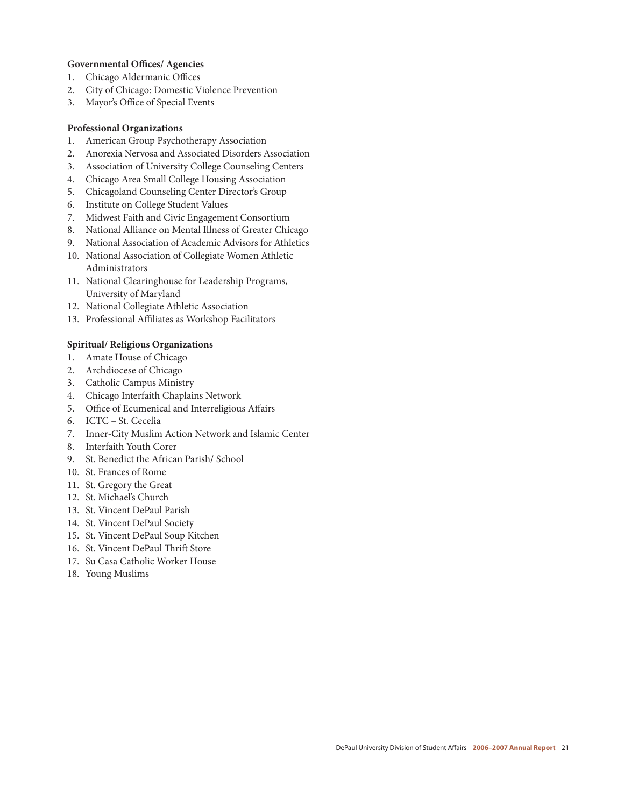#### **Governmental Offices/ Agencies**

- 1. Chicago Aldermanic Offices
- 2. City of Chicago: Domestic Violence Prevention
- 3. Mayor's Office of Special Events

#### **Professional Organizations**

- 1. American Group Psychotherapy Association
- 2. Anorexia Nervosa and Associated Disorders Association
- 3. Association of University College Counseling Centers
- 4. Chicago Area Small College Housing Association
- 5. Chicagoland Counseling Center Director's Group
- 6. Institute on College Student Values
- 7. Midwest Faith and Civic Engagement Consortium
- 8. National Alliance on Mental Illness of Greater Chicago
- 9. National Association of Academic Advisors for Athletics
- 10. National Association of Collegiate Women Athletic Administrators
- 11. National Clearinghouse for Leadership Programs, University of Maryland
- 12. National Collegiate Athletic Association
- 13. Professional Affiliates as Workshop Facilitators

#### **Spiritual/ Religious Organizations**

- 1. Amate House of Chicago
- 2. Archdiocese of Chicago
- 3. Catholic Campus Ministry
- 4. Chicago Interfaith Chaplains Network
- 5. Office of Ecumenical and Interreligious Affairs
- 6. ICTC St. Cecelia
- 7. Inner-City Muslim Action Network and Islamic Center
- 8. Interfaith Youth Corer
- 9. St. Benedict the African Parish/ School
- 10. St. Frances of Rome
- 11. St. Gregory the Great
- 12. St. Michael's Church
- 13. St. Vincent DePaul Parish
- 14. St. Vincent DePaul Society
- 15. St. Vincent DePaul Soup Kitchen
- 16. St. Vincent DePaul Thrift Store
- 17. Su Casa Catholic Worker House
- 18. Young Muslims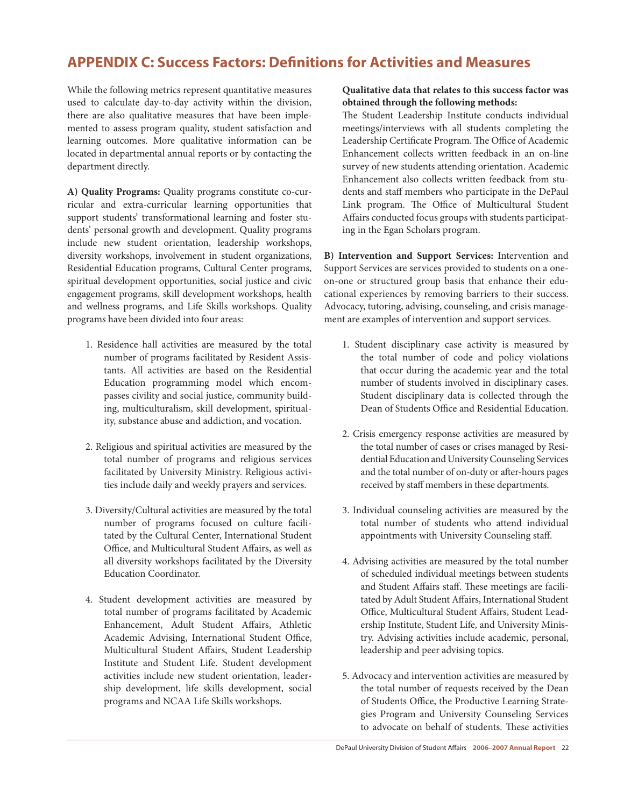## **APPENDIX C: Success Factors: Definitions for Activities and Measures**

While the following metrics represent quantitative measures used to calculate day-to-day activity within the division, there are also qualitative measures that have been implemented to assess program quality, student satisfaction and learning outcomes. More qualitative information can be located in departmental annual reports or by contacting the department directly.

**A) Quality Programs:** Quality programs constitute co-curricular and extra-curricular learning opportunities that support students' transformational learning and foster students' personal growth and development. Quality programs include new student orientation, leadership workshops, diversity workshops, involvement in student organizations, Residential Education programs, Cultural Center programs, spiritual development opportunities, social justice and civic engagement programs, skill development workshops, health and wellness programs, and Life Skills workshops. Quality programs have been divided into four areas:

- 1. Residence hall activities are measured by the total number of programs facilitated by Resident Assistants. All activities are based on the Residential Education programming model which encompasses civility and social justice, community building, multiculturalism, skill development, spirituality, substance abuse and addiction, and vocation.
- 2. Religious and spiritual activities are measured by the total number of programs and religious services facilitated by University Ministry. Religious activities include daily and weekly prayers and services.
- 3. Diversity/Cultural activities are measured by the total number of programs focused on culture facilitated by the Cultural Center, International Student Office, and Multicultural Student Affairs, as well as all diversity workshops facilitated by the Diversity Education Coordinator.
- 4. Student development activities are measured by total number of programs facilitated by Academic Enhancement, Adult Student Affairs, Athletic Academic Advising, International Student Office, Multicultural Student Affairs, Student Leadership Institute and Student Life. Student development activities include new student orientation, leadership development, life skills development, social programs and NCAA Life Skills workshops.

### **Qualitative data that relates to this success factor was obtained through the following methods:**

The Student Leadership Institute conducts individual meetings/interviews with all students completing the Leadership Certificate Program. The Office of Academic Enhancement collects written feedback in an on-line survey of new students attending orientation. Academic Enhancement also collects written feedback from students and staff members who participate in the DePaul Link program. The Office of Multicultural Student Affairs conducted focus groups with students participating in the Egan Scholars program.

**B) Intervention and Support Services:** Intervention and Support Services are services provided to students on a oneon-one or structured group basis that enhance their educational experiences by removing barriers to their success. Advocacy, tutoring, advising, counseling, and crisis management are examples of intervention and support services.

- 1. Student disciplinary case activity is measured by the total number of code and policy violations that occur during the academic year and the total number of students involved in disciplinary cases. Student disciplinary data is collected through the Dean of Students Office and Residential Education.
- 2. Crisis emergency response activities are measured by the total number of cases or crises managed by Residential Education and University Counseling Services and the total number of on-duty or after-hours pages received by staff members in these departments.
- 3. Individual counseling activities are measured by the total number of students who attend individual appointments with University Counseling staff.
- 4. Advising activities are measured by the total number of scheduled individual meetings between students and Student Affairs staff. These meetings are facilitated by Adult Student Affairs, International Student Office, Multicultural Student Affairs, Student Leadership Institute, Student Life, and University Ministry. Advising activities include academic, personal, leadership and peer advising topics.
- 5. Advocacy and intervention activities are measured by the total number of requests received by the Dean of Students Office, the Productive Learning Strategies Program and University Counseling Services to advocate on behalf of students. These activities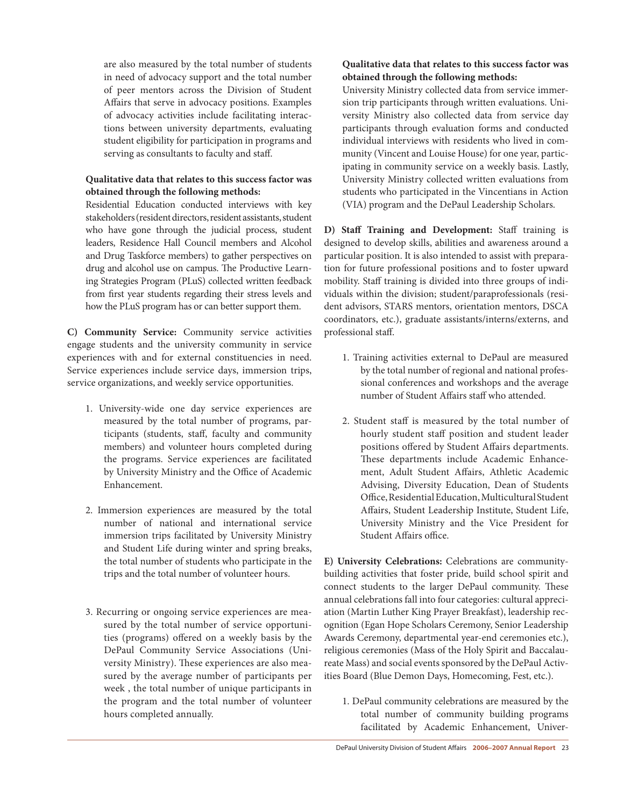are also measured by the total number of students in need of advocacy support and the total number of peer mentors across the Division of Student Affairs that serve in advocacy positions. Examples of advocacy activities include facilitating interactions between university departments, evaluating student eligibility for participation in programs and serving as consultants to faculty and staff.

#### **Qualitative data that relates to this success factor was obtained through the following methods:**

Residential Education conducted interviews with key stakeholders (resident directors, resident assistants, student who have gone through the judicial process, student leaders, Residence Hall Council members and Alcohol and Drug Taskforce members) to gather perspectives on drug and alcohol use on campus. The Productive Learning Strategies Program (PLuS) collected written feedback from first year students regarding their stress levels and how the PLuS program has or can better support them.

**C) Community Service:** Community service activities engage students and the university community in service experiences with and for external constituencies in need. Service experiences include service days, immersion trips, service organizations, and weekly service opportunities.

- 1. University-wide one day service experiences are measured by the total number of programs, participants (students, staff, faculty and community members) and volunteer hours completed during the programs. Service experiences are facilitated by University Ministry and the Office of Academic Enhancement.
- 2. Immersion experiences are measured by the total number of national and international service immersion trips facilitated by University Ministry and Student Life during winter and spring breaks, the total number of students who participate in the trips and the total number of volunteer hours.
- 3. Recurring or ongoing service experiences are measured by the total number of service opportunities (programs) offered on a weekly basis by the DePaul Community Service Associations (University Ministry). These experiences are also measured by the average number of participants per week , the total number of unique participants in the program and the total number of volunteer hours completed annually.

## **Qualitative data that relates to this success factor was obtained through the following methods:**

University Ministry collected data from service immersion trip participants through written evaluations. University Ministry also collected data from service day participants through evaluation forms and conducted individual interviews with residents who lived in community (Vincent and Louise House) for one year, participating in community service on a weekly basis. Lastly, University Ministry collected written evaluations from students who participated in the Vincentians in Action (VIA) program and the DePaul Leadership Scholars.

**D) Staff Training and Development:** Staff training is designed to develop skills, abilities and awareness around a particular position. It is also intended to assist with preparation for future professional positions and to foster upward mobility. Staff training is divided into three groups of individuals within the division; student/paraprofessionals (resident advisors, STARS mentors, orientation mentors, DSCA coordinators, etc.), graduate assistants/interns/externs, and professional staff.

- 1. Training activities external to DePaul are measured by the total number of regional and national professional conferences and workshops and the average number of Student Affairs staff who attended.
- 2. Student staff is measured by the total number of hourly student staff position and student leader positions offered by Student Affairs departments. These departments include Academic Enhancement, Adult Student Affairs, Athletic Academic Advising, Diversity Education, Dean of Students Office,ResidentialEducation,MulticulturalStudent Affairs, Student Leadership Institute, Student Life, University Ministry and the Vice President for Student Affairs office.

**E) University Celebrations:** Celebrations are communitybuilding activities that foster pride, build school spirit and connect students to the larger DePaul community. These annual celebrations fall into four categories: cultural appreciation (Martin Luther King Prayer Breakfast), leadership recognition (Egan Hope Scholars Ceremony, Senior Leadership Awards Ceremony, departmental year-end ceremonies etc.), religious ceremonies (Mass of the Holy Spirit and Baccalaureate Mass) and social events sponsored by the DePaul Activities Board (Blue Demon Days, Homecoming, Fest, etc.).

1. DePaul community celebrations are measured by the total number of community building programs facilitated by Academic Enhancement, Univer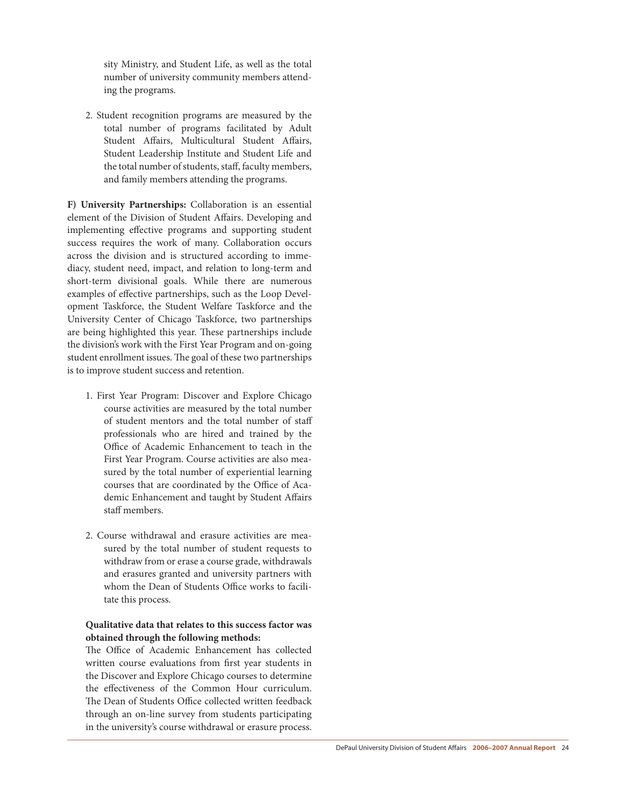sity Ministry, and Student Life, as well as the total number of university community members attending the programs. 

2. Student recognition programs are measured by the total number of programs facilitated by Adult Student Affairs, Multicultural Student Affairs, Student Leadership Institute and Student Life and the total number of students, staff, faculty members, and family members attending the programs.

**F) University Partnerships:** Collaboration is an essential element of the Division of Student Affairs. Developing and implementing effective programs and supporting student success requires the work of many. Collaboration occurs across the division and is structured according to immediacy, student need, impact, and relation to long-term and short-term divisional goals. While there are numerous examples of effective partnerships, such as the Loop Development Taskforce, the Student Welfare Taskforce and the University Center of Chicago Taskforce, two partnerships are being highlighted this year. These partnerships include the division's work with the First Year Program and on-going student enrollment issues. The goal of these two partnerships is to improve student success and retention.

- 1. First Year Program: Discover and Explore Chicago course activities are measured by the total number of student mentors and the total number of staff professionals who are hired and trained by the Office of Academic Enhancement to teach in the First Year Program. Course activities are also measured by the total number of experiential learning courses that are coordinated by the Office of Academic Enhancement and taught by Student Affairs staff members.
- 2. Course withdrawal and erasure activities are measured by the total number of student requests to withdraw from or erase a course grade, withdrawals and erasures granted and university partners with whom the Dean of Students Office works to facilitate this process.

#### **Qualitative data that relates to this success factor was obtained through the following methods:**

The Office of Academic Enhancement has collected written course evaluations from first year students in the Discover and Explore Chicago courses to determine the effectiveness of the Common Hour curriculum. The Dean of Students Office collected written feedback through an on-line survey from students participating in the university's course withdrawal or erasure process.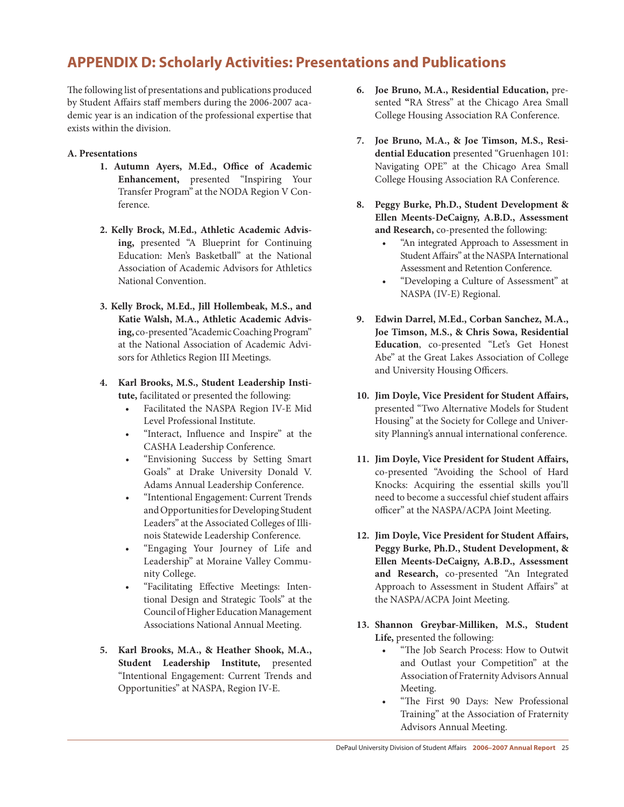## **APPENDIX D: Scholarly Activities: Presentations and Publications**

The following list of presentations and publications produced by Student Affairs staff members during the 2006-2007 academic year is an indication of the professional expertise that exists within the division.

#### **A. Presentations**

- **1. Autumn Ayers, M.Ed., Office of Academic Enhancement,** presented "Inspiring Your Transfer Program" at the NODA Region V Conference.
- **2. Kelly Brock, M.Ed., Athletic Academic Advising,** presented "A Blueprint for Continuing Education: Men's Basketball" at the National Association of Academic Advisors for Athletics National Convention.
- **3. Kelly Brock, M.Ed., Jill Hollembeak, M.S., and Katie Walsh, M.A., Athletic Academic Advis**ing, co-presented "Academic Coaching Program" at the National Association of Academic Advisors for Athletics Region III Meetings.
- **4. Karl Brooks, M.S., Student Leadership Institute,** facilitated or presented the following:
	- • Facilitated the NASPA Region IV-E Mid Level Professional Institute.
	- • "Interact, Influence and Inspire" at the CASHA Leadership Conference.
	- • "Envisioning Success by Setting Smart Goals" at Drake University Donald V. Adams Annual Leadership Conference.
	- • "Intentional Engagement: Current Trends and Opportunities for Developing Student Leaders" at the Associated Colleges of Illinois Statewide Leadership Conference.
	- • "Engaging Your Journey of Life and Leadership" at Moraine Valley Community College.
	- • "Facilitating Effective Meetings: Intentional Design and Strategic Tools" at the Council of Higher Education Management Associations National Annual Meeting.
- **5. Karl Brooks, M.A., & Heather Shook, M.A., Student Leadership Institute,** presented "Intentional Engagement: Current Trends and Opportunities" at NASPA, Region IV-E.
- **6. Joe Bruno, M.A., Residential Education,** presented **"**RA Stress" at the Chicago Area Small College Housing Association RA Conference.
- **7. Joe Bruno, M.A., & Joe Timson, M.S., Residential Education** presented "Gruenhagen 101: Navigating OPE" at the Chicago Area Small College Housing Association RA Conference.
- **8. Peggy Burke, Ph.D., Student Development & Ellen Meents-DeCaigny, A.B.D., Assessment and Research,** co-presented the following:
	- "An integrated Approach to Assessment in Student Affairs" at the NASPA International Assessment and Retention Conference.
	- • "Developing a Culture of Assessment" at NASPA (IV-E) Regional.
- **9. Edwin Darrel, M.Ed., Corban Sanchez, M.A., Joe Timson, M.S., & Chris Sowa, Residential Education**, co-presented "Let's Get Honest Abe" at the Great Lakes Association of College and University Housing Officers.
- **10. Jim Doyle, Vice President for Student Affairs,** presented "Two Alternative Models for Student Housing" at the Society for College and University Planning's annual international conference.
- **11. Jim Doyle, Vice President for Student Affairs,** co-presented "Avoiding the School of Hard Knocks: Acquiring the essential skills you'll need to become a successful chief student affairs officer" at the NASPA/ACPA Joint Meeting.
- **12. Jim Doyle, Vice President for Student Affairs, Peggy Burke, Ph.D., Student Development, & Ellen Meents-DeCaigny, A.B.D., Assessment and Research,** co-presented "An Integrated Approach to Assessment in Student Affairs" at the NASPA/ACPA Joint Meeting.
- **13. Shannon Greybar-Milliken, M.S., Student Life,** presented the following:
	- "The Job Search Process: How to Outwit and Outlast your Competition" at the Association of Fraternity Advisors Annual Meeting.
	- "The First 90 Days: New Professional Training" at the Association of Fraternity Advisors Annual Meeting.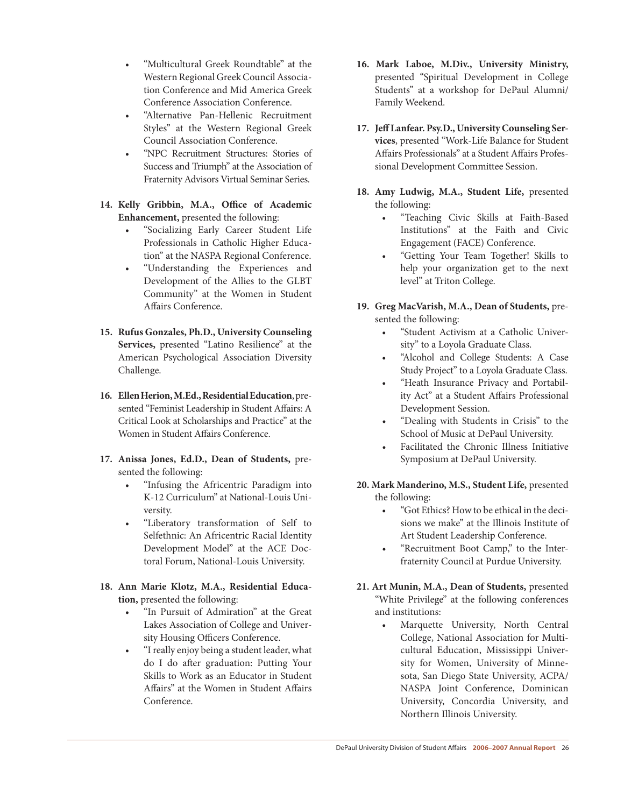- • "Multicultural Greek Roundtable" at the Western Regional Greek Council Association Conference and Mid America Greek Conference Association Conference.
- • "Alternative Pan-Hellenic Recruitment Styles" at the Western Regional Greek Council Association Conference.
- • "NPC Recruitment Structures: Stories of Success and Triumph" at the Association of Fraternity Advisors Virtual Seminar Series.
- **14. Kelly Gribbin, M.A., Office of Academic Enhancement,** presented the following:
	- • "Socializing Early Career Student Life Professionals in Catholic Higher Education" at the NASPA Regional Conference.
	- • "Understanding the Experiences and Development of the Allies to the GLBT Community" at the Women in Student Affairs Conference.
- **15. Rufus Gonzales, Ph.D., University Counseling Services,** presented "Latino Resilience" at the American Psychological Association Diversity Challenge.
- 16. Ellen Herion, M.Ed., Residential Education, presented "Feminist Leadership in Student Affairs: A Critical Look at Scholarships and Practice" at the Women in Student Affairs Conference.
- **17. Anissa Jones, Ed.D., Dean of Students,** presented the following:
	- "Infusing the Africentric Paradigm into K-12 Curriculum" at National-Louis University.
	- • "Liberatory transformation of Self to Selfethnic: An Africentric Racial Identity Development Model" at the ACE Doctoral Forum, National-Louis University.
- **18. Ann Marie Klotz, M.A., Residential Education,** presented the following:
	- "In Pursuit of Admiration" at the Great Lakes Association of College and University Housing Officers Conference.
	- • "Ireally enjoy being a student leader, what do I do after graduation: Putting Your Skills to Work as an Educator in Student Affairs" at the Women in Student Affairs Conference.
- **16. Mark Laboe, M.Div., University Ministry,** presented "Spiritual Development in College Students" at a workshop for DePaul Alumni/ Family Weekend.
- **17. JeffLanfear. Psy.D., UniversityCounseling Services**, presented "Work-Life Balance for Student Affairs Professionals" at a Student Affairs Professional Development Committee Session.
- **18. Amy Ludwig, M.A., Student Life,** presented the following:
	- • "Teaching Civic Skills at Faith-Based Institutions" at the Faith and Civic Engagement (FACE) Conference.
	- • "Getting Your Team Together! Skills to help your organization get to the next level" at Triton College.
- **19. Greg MacVarish, M.A., Dean of Students,** presented the following:
	- "Student Activism at a Catholic University" to a Loyola Graduate Class.
	- "Alcohol and College Students: A Case Study Project" to a Loyola Graduate Class.
	- • "Heath Insurance Privacy and Portability Act" at a Student Affairs Professional Development Session.
	- • "Dealing with Students in Crisis" to the School of Music at DePaul University.
	- Facilitated the Chronic Illness Initiative Symposium at DePaul University.
- **20. Mark Manderino, M.S., Student Life,** presented the following:
	- "Got Ethics? How to be ethical in the decisions we make" at the Illinois Institute of Art Student Leadership Conference.
	- "Recruitment Boot Camp," to the Interfraternity Council at Purdue University.
- **21. Art Munin, M.A., Dean of Students,** presented "White Privilege" at the following conferences and institutions:
	- Marquette University, North Central College, National Association for Multicultural Education, Mississippi University for Women, University of Minnesota, San Diego State University, ACPA/ NASPA Joint Conference, Dominican University, Concordia University, and Northern Illinois University.